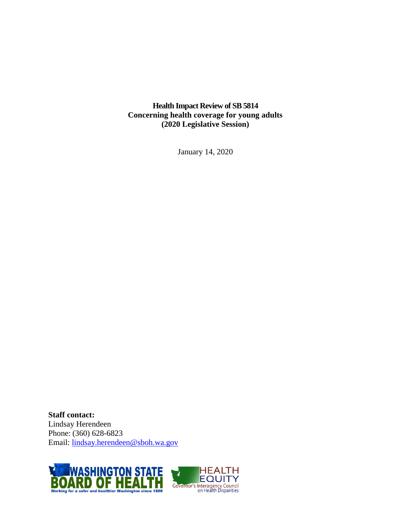**Health Impact Review of SB 5814 Concerning health coverage for young adults (2020 Legislative Session)**

January 14, 2020

**Staff contact:** Lindsay Herendeen Phone: (360) 628-6823 Email: [lindsay.herendeen@sboh.wa.gov](mailto:lindsay.herendeen@sboh.wa.gov)



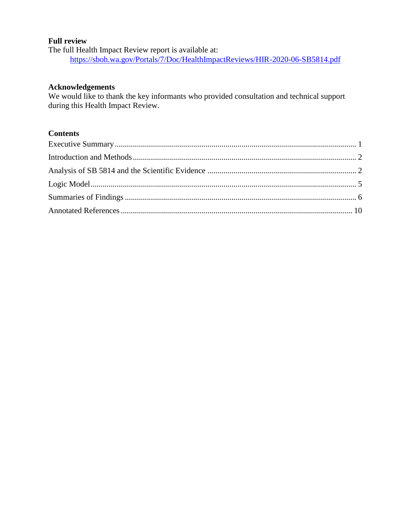### **Full review**

The full Health Impact Review report is available at: <https://sboh.wa.gov/Portals/7/Doc/HealthImpactReviews/HIR-2020-06-SB5814.pdf>

### **Acknowledgements**

We would like to thank the key informants who provided consultation and technical support during this Health Impact Review.

# **Contents**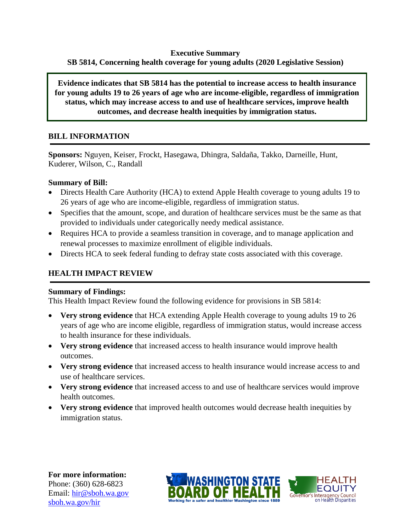### **Executive Summary SB 5814, Concerning health coverage for young adults (2020 Legislative Session)**

**Evidence indicates that SB 5814 has the potential to increase access to health insurance for young adults 19 to 26 years of age who are income-eligible, regardless of immigration status, which may increase access to and use of healthcare services, improve health outcomes, and decrease health inequities by immigration status.**

# **BILL INFORMATION**

**Sponsors:** Nguyen, Keiser, Frockt, Hasegawa, Dhingra, Saldaña, Takko, Darneille, Hunt, Kuderer, Wilson, C., Randall

### **Summary of Bill:**

- Directs Health Care Authority (HCA) to extend Apple Health coverage to young adults 19 to 26 years of age who are income-eligible, regardless of immigration status.
- Specifies that the amount, scope, and duration of healthcare services must be the same as that provided to individuals under categorically needy medical assistance.
- Requires HCA to provide a seamless transition in coverage, and to manage application and renewal processes to maximize enrollment of eligible individuals.
- Directs HCA to seek federal funding to defray state costs associated with this coverage.

# **HEALTH IMPACT REVIEW**

#### **Summary of Findings:**

This Health Impact Review found the following evidence for provisions in SB 5814:

- **Very strong evidence** that HCA extending Apple Health coverage to young adults 19 to 26 years of age who are income eligible, regardless of immigration status, would increase access to health insurance for these individuals.
- **Very strong evidence** that increased access to health insurance would improve health outcomes.
- **Very strong evidence** that increased access to health insurance would increase access to and use of healthcare services.
- **Very strong evidence** that increased access to and use of healthcare services would improve health outcomes.
- **Very strong evidence** that improved health outcomes would decrease health inequities by immigration status.

**For more information:** Phone: (360) 628-6823 Email: [hir@sboh.wa.gov](mailto:hir@sboh.wa.gov) [sboh.wa.gov/](http://sboh.wa.gov/)hir



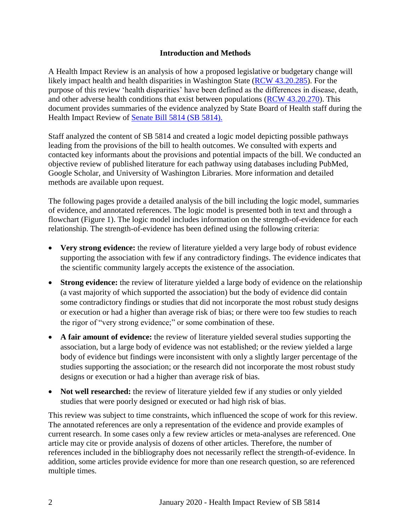### **Introduction and Methods**

<span id="page-3-0"></span>A Health Impact Review is an analysis of how a proposed legislative or budgetary change will likely impact health and health disparities in Washington State [\(RCW 43.20.285\)](http://apps.leg.wa.gov/rcw/default.aspx?cite=43.20.285). For the purpose of this review 'health disparities' have been defined as the differences in disease, death, and other adverse health conditions that exist between populations [\(RCW 43.20.270\)](http://apps.leg.wa.gov/rcw/default.aspx?cite=43.20.270). This document provides summaries of the evidence analyzed by State Board of Health staff during the Health Impact Review of Senate [Bill 5814 \(SB 5814\).](https://app.leg.wa.gov/billsummary?BillNumber=5814&Year=2019&Initiative=false)

Staff analyzed the content of SB 5814 and created a logic model depicting possible pathways leading from the provisions of the bill to health outcomes. We consulted with experts and contacted key informants about the provisions and potential impacts of the bill. We conducted an objective review of published literature for each pathway using databases including PubMed, Google Scholar, and University of Washington Libraries. More information and detailed methods are available upon request.

The following pages provide a detailed analysis of the bill including the logic model, summaries of evidence, and annotated references. The logic model is presented both in text and through a flowchart (Figure 1). The logic model includes information on the strength-of-evidence for each relationship. The strength-of-evidence has been defined using the following criteria:

- Very strong evidence: the review of literature yielded a very large body of robust evidence supporting the association with few if any contradictory findings. The evidence indicates that the scientific community largely accepts the existence of the association.
- **Strong evidence:** the review of literature yielded a large body of evidence on the relationship (a vast majority of which supported the association) but the body of evidence did contain some contradictory findings or studies that did not incorporate the most robust study designs or execution or had a higher than average risk of bias; or there were too few studies to reach the rigor of "very strong evidence;" or some combination of these.
- **A fair amount of evidence:** the review of literature yielded several studies supporting the association, but a large body of evidence was not established; or the review yielded a large body of evidence but findings were inconsistent with only a slightly larger percentage of the studies supporting the association; or the research did not incorporate the most robust study designs or execution or had a higher than average risk of bias.
- Not well researched: the review of literature yielded few if any studies or only yielded studies that were poorly designed or executed or had high risk of bias.

<span id="page-3-1"></span>This review was subject to time constraints, which influenced the scope of work for this review. The annotated references are only a representation of the evidence and provide examples of current research. In some cases only a few review articles or meta-analyses are referenced. One article may cite or provide analysis of dozens of other articles. Therefore, the number of references included in the bibliography does not necessarily reflect the strength-of-evidence. In addition, some articles provide evidence for more than one research question, so are referenced multiple times.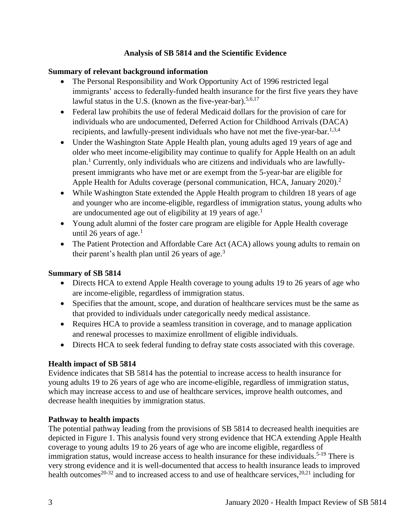### **Analysis of SB 5814 and the Scientific Evidence**

# **Summary of relevant background information**

- The Personal Responsibility and Work Opportunity Act of 1996 restricted legal immigrants' access to federally-funded health insurance for the first five years they have lawful status in the U.S. (known as the five-year-bar).<sup>5,6,17</sup>
- Federal law prohibits the use of federal Medicaid dollars for the provision of care for individuals who are undocumented, Deferred Action for Childhood Arrivals (DACA) recipients, and lawfully-present individuals who have not met the five-year-bar.<sup>1,3,4</sup>
- Under the Washington State Apple Health plan, young adults aged 19 years of age and older who meet income-eligibility may continue to qualify for Apple Health on an adult plan. <sup>1</sup> Currently, only individuals who are citizens and individuals who are lawfullypresent immigrants who have met or are exempt from the 5-year-bar are eligible for Apple Health for Adults coverage (personal communication, HCA, January 2020).<sup>2</sup>
- While Washington State extended the Apple Health program to children 18 years of age and younger who are income-eligible, regardless of immigration status, young adults who are undocumented age out of eligibility at 19 years of age.<sup>1</sup>
- Young adult alumni of the foster care program are eligible for Apple Health coverage until 26 years of age. $<sup>1</sup>$ </sup>
- The Patient Protection and Affordable Care Act (ACA) allows young adults to remain on their parent's health plan until 26 years of age.<sup>3</sup>

# **Summary of SB 5814**

- Directs HCA to extend Apple Health coverage to young adults 19 to 26 years of age who are income-eligible, regardless of immigration status.
- Specifies that the amount, scope, and duration of healthcare services must be the same as that provided to individuals under categorically needy medical assistance.
- Requires HCA to provide a seamless transition in coverage, and to manage application and renewal processes to maximize enrollment of eligible individuals.
- Directs HCA to seek federal funding to defray state costs associated with this coverage.

# **Health impact of SB 5814**

Evidence indicates that SB 5814 has the potential to increase access to health insurance for young adults 19 to 26 years of age who are income-eligible, regardless of immigration status, which may increase access to and use of healthcare services, improve health outcomes, and decrease health inequities by immigration status.

### **Pathway to health impacts**

The potential pathway leading from the provisions of SB 5814 to decreased health inequities are depicted in Figure 1. This analysis found very strong evidence that HCA extending Apple Health coverage to young adults 19 to 26 years of age who are income eligible, regardless of immigration status, would increase access to health insurance for these individuals.<sup>5-19</sup> There is very strong evidence and it is well-documented that access to health insurance leads to improved health outcomes<sup>20-32</sup> and to increased access to and use of healthcare services,  $20,21$  including for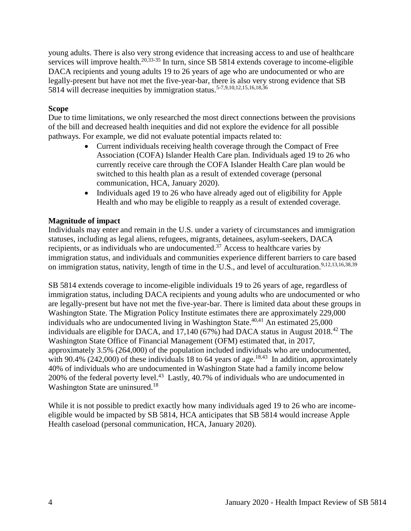young adults. There is also very strong evidence that increasing access to and use of healthcare services will improve health.<sup>20,33-35</sup> In turn, since SB 5814 extends coverage to income-eligible DACA recipients and young adults 19 to 26 years of age who are undocumented or who are legally-present but have not met the five-year-bar, there is also very strong evidence that SB 5814 will decrease inequities by immigration status.5-7,9,10,12,15,16,18,36

### **Scope**

Due to time limitations, we only researched the most direct connections between the provisions of the bill and decreased health inequities and did not explore the evidence for all possible pathways. For example, we did not evaluate potential impacts related to:

- Current individuals receiving health coverage through the Compact of Free Association (COFA) Islander Health Care plan. Individuals aged 19 to 26 who currently receive care through the COFA Islander Health Care plan would be switched to this health plan as a result of extended coverage (personal communication, HCA, January 2020).
- Individuals aged 19 to 26 who have already aged out of eligibility for Apple Health and who may be eligible to reapply as a result of extended coverage.

#### **Magnitude of impact**

Individuals may enter and remain in the U.S. under a variety of circumstances and immigration statuses, including as legal aliens, refugees, migrants, detainees, asylum-seekers, DACA recipients, or as individuals who are undocumented.<sup>37</sup> Access to healthcare varies by immigration status, and individuals and communities experience different barriers to care based on immigration status, nativity, length of time in the U.S., and level of acculturation.<sup>9,12,13,16,38,39</sup>

SB 5814 extends coverage to income-eligible individuals 19 to 26 years of age, regardless of immigration status, including DACA recipients and young adults who are undocumented or who are legally-present but have not met the five-year-bar. There is limited data about these groups in Washington State. The Migration Policy Institute estimates there are approximately 229,000 individuals who are undocumented living in Washington State.<sup>40,41</sup> An estimated  $25,000$ individuals are eligible for DACA, and  $17,140$  (67%) had DACA status in August 2018.<sup>42</sup> The Washington State Office of Financial Management (OFM) estimated that, in 2017, approximately 3.5% (264,000) of the population included individuals who are undocumented, with 90.4% (242,000) of these individuals 18 to 64 years of age.<sup>18,43</sup> In addition, approximately 40% of individuals who are undocumented in Washington State had a family income below 200% of the federal poverty level.<sup>43</sup> Lastly, 40.7% of individuals who are undocumented in Washington State are uninsured.<sup>18</sup>

While it is not possible to predict exactly how many individuals aged 19 to 26 who are incomeeligible would be impacted by SB 5814, HCA anticipates that SB 5814 would increase Apple Health caseload (personal communication, HCA, January 2020).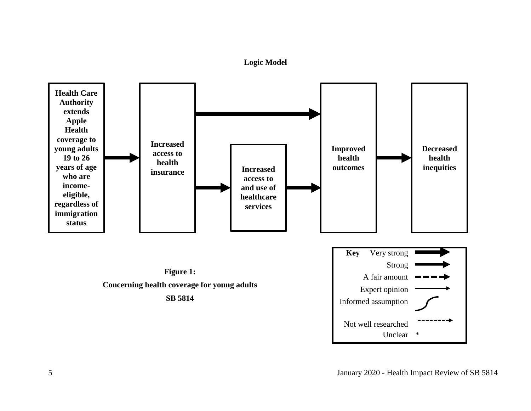**Logic Model**

<span id="page-6-0"></span>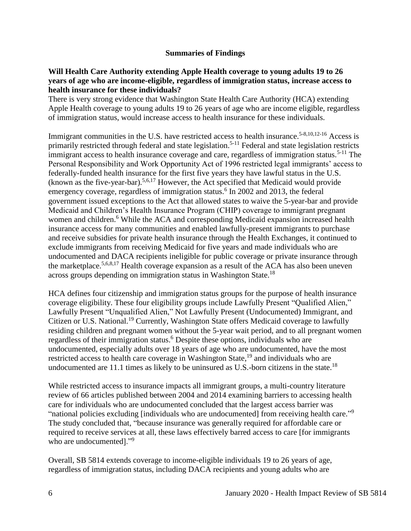### **Summaries of Findings**

#### <span id="page-7-0"></span>**Will Health Care Authority extending Apple Health coverage to young adults 19 to 26 years of age who are income-eligible, regardless of immigration status, increase access to health insurance for these individuals?**

There is very strong evidence that Washington State Health Care Authority (HCA) extending Apple Health coverage to young adults 19 to 26 years of age who are income eligible, regardless of immigration status, would increase access to health insurance for these individuals.

Immigrant communities in the U.S. have restricted access to health insurance.<sup>5-8,10,12-16</sup> Access is primarily restricted through federal and state legislation.<sup>5-11</sup> Federal and state legislation restricts immigrant access to health insurance coverage and care, regardless of immigration status.<sup>5-11</sup> The Personal Responsibility and Work Opportunity Act of 1996 restricted legal immigrants' access to federally-funded health insurance for the first five years they have lawful status in the U.S. (known as the five-year-bar).5,6,17 However, the Act specified that Medicaid would provide emergency coverage, regardless of immigration status.<sup>6</sup> In 2002 and 2013, the federal government issued exceptions to the Act that allowed states to waive the 5-year-bar and provide Medicaid and Children's Health Insurance Program (CHIP) coverage to immigrant pregnant women and children.<sup>6</sup> While the ACA and corresponding Medicaid expansion increased health insurance access for many communities and enabled lawfully-present immigrants to purchase and receive subsidies for private health insurance through the Health Exchanges, it continued to exclude immigrants from receiving Medicaid for five years and made individuals who are undocumented and DACA recipients ineligible for public coverage or private insurance through the marketplace.<sup>5,6,8,17</sup> Health coverage expansion as a result of the ACA has also been uneven across groups depending on immigration status in Washington State.<sup>18</sup>

HCA defines four citizenship and immigration status groups for the purpose of health insurance coverage eligibility. These four eligibility groups include Lawfully Present "Qualified Alien," Lawfully Present "Unqualified Alien," Not Lawfully Present (Undocumented) Immigrant, and Citizen or U.S. National.<sup>19</sup> Currently, Washington State offers Medicaid coverage to lawfully residing children and pregnant women without the 5-year wait period, and to all pregnant women regardless of their immigration status.<sup>6</sup> Despite these options, individuals who are undocumented, especially adults over 18 years of age who are undocumented, have the most restricted access to health care coverage in Washington State,<sup>19</sup> and individuals who are undocumented are 11.1 times as likely to be uninsured as U.S.-born citizens in the state.<sup>18</sup>

While restricted access to insurance impacts all immigrant groups, a multi-country literature review of 66 articles published between 2004 and 2014 examining barriers to accessing health care for individuals who are undocumented concluded that the largest access barrier was "national policies excluding [individuals who are undocumented] from receiving health care."<sup>9</sup> The study concluded that, "because insurance was generally required for affordable care or required to receive services at all, these laws effectively barred access to care [for immigrants who are undocumented]."<sup>9</sup>

Overall, SB 5814 extends coverage to income-eligible individuals 19 to 26 years of age, regardless of immigration status, including DACA recipients and young adults who are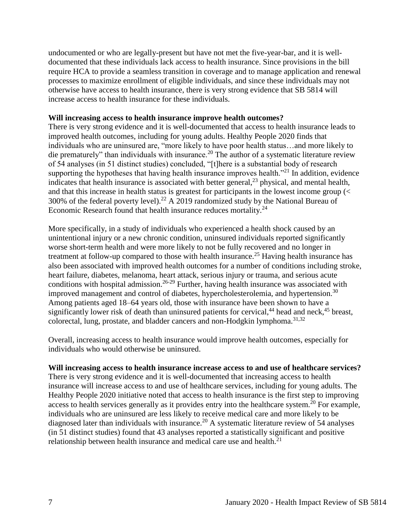undocumented or who are legally-present but have not met the five-year-bar, and it is welldocumented that these individuals lack access to health insurance. Since provisions in the bill require HCA to provide a seamless transition in coverage and to manage application and renewal processes to maximize enrollment of eligible individuals, and since these individuals may not otherwise have access to health insurance, there is very strong evidence that SB 5814 will increase access to health insurance for these individuals.

#### **Will increasing access to health insurance improve health outcomes?**

There is very strong evidence and it is well-documented that access to health insurance leads to improved health outcomes, including for young adults. Healthy People 2020 finds that individuals who are uninsured are, "more likely to have poor health status…and more likely to die prematurely" than individuals with insurance.<sup>20</sup> The author of a systematic literature review of 54 analyses (in 51 distinct studies) concluded, "[t]here is a substantial body of research supporting the hypotheses that having health insurance improves health. $"^{21}$  In addition, evidence indicates that health insurance is associated with better general,  $2<sup>3</sup>$  physical, and mental health, and that this increase in health status is greatest for participants in the lowest income group (< 300% of the federal poverty level).<sup>22</sup> A 2019 randomized study by the National Bureau of Economic Research found that health insurance reduces mortality.<sup>24</sup>

More specifically, in a study of individuals who experienced a health shock caused by an unintentional injury or a new chronic condition, uninsured individuals reported significantly worse short-term health and were more likely to not be fully recovered and no longer in treatment at follow-up compared to those with health insurance.<sup>25</sup> Having health insurance has also been associated with improved health outcomes for a number of conditions including stroke, heart failure, diabetes, melanoma, heart attack, serious injury or trauma, and serious acute conditions with hospital admission.<sup>26-29</sup> Further, having health insurance was associated with improved management and control of diabetes, hypercholesterolemia, and hypertension.<sup>30</sup> Among patients aged 18–64 years old, those with insurance have been shown to have a significantly lower risk of death than uninsured patients for cervical,<sup>44</sup> head and neck,<sup>45</sup> breast, colorectal, lung, prostate, and bladder cancers and non-Hodgkin lymphoma.<sup>31,32</sup>

Overall, increasing access to health insurance would improve health outcomes, especially for individuals who would otherwise be uninsured.

#### **Will increasing access to health insurance increase access to and use of healthcare services?**

There is very strong evidence and it is well-documented that increasing access to health insurance will increase access to and use of healthcare services, including for young adults. The Healthy People 2020 initiative noted that access to health insurance is the first step to improving access to health services generally as it provides entry into the healthcare system.<sup>20</sup> For example, individuals who are uninsured are less likely to receive medical care and more likely to be diagnosed later than individuals with insurance.<sup>20</sup> A systematic literature review of 54 analyses (in 51 distinct studies) found that 43 analyses reported a statistically significant and positive relationship between health insurance and medical care use and health.<sup>21</sup>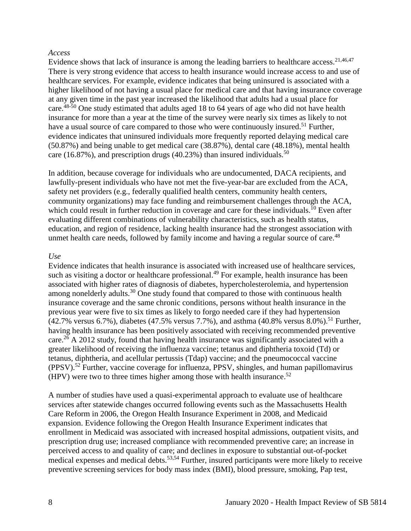#### *Access*

Evidence shows that lack of insurance is among the leading barriers to healthcare access.<sup>21,46,47</sup> There is very strong evidence that access to health insurance would increase access to and use of healthcare services. For example, evidence indicates that being uninsured is associated with a higher likelihood of not having a usual place for medical care and that having insurance coverage at any given time in the past year increased the likelihood that adults had a usual place for care.<sup>48-50</sup> One study estimated that adults aged 18 to 64 years of age who did not have health insurance for more than a year at the time of the survey were nearly six times as likely to not have a usual source of care compared to those who were continuously insured.<sup>51</sup> Further, evidence indicates that uninsured individuals more frequently reported delaying medical care (50.87%) and being unable to get medical care (38.87%), dental care (48.18%), mental health care (16.87%), and prescription drugs (40.23%) than insured individuals.<sup>50</sup>

In addition, because coverage for individuals who are undocumented, DACA recipients, and lawfully-present individuals who have not met the five-year-bar are excluded from the ACA, safety net providers (e.g., federally qualified health centers, community health centers, community organizations) may face funding and reimbursement challenges through the ACA, which could result in further reduction in coverage and care for these individuals.<sup>10</sup> Even after evaluating different combinations of vulnerability characteristics, such as health status, education, and region of residence, lacking health insurance had the strongest association with unmet health care needs, followed by family income and having a regular source of care.<sup>48</sup>

#### *Use*

Evidence indicates that health insurance is associated with increased use of healthcare services, such as visiting a doctor or healthcare professional.<sup>49</sup> For example, health insurance has been associated with higher rates of diagnosis of diabetes, hypercholesterolemia, and hypertension among nonelderly adults.<sup>30</sup> One study found that compared to those with continuous health insurance coverage and the same chronic conditions, persons without health insurance in the previous year were five to six times as likely to forgo needed care if they had hypertension  $(42.7\%$  versus 6.7%), diabetes  $(47.5\%$  versus 7.7%), and asthma  $(40.8\%$  versus 8.0%).<sup>51</sup> Further, having health insurance has been positively associated with receiving recommended preventive care.<sup>26</sup> A 2012 study, found that having health insurance was significantly associated with a greater likelihood of receiving the influenza vaccine; tetanus and diphtheria toxoid (Td) or tetanus, diphtheria, and acellular pertussis (Tdap) vaccine; and the pneumococcal vaccine  $(PPSV)$ .<sup>52</sup> Further, vaccine coverage for influenza, PPSV, shingles, and human papillomavirus (HPV) were two to three times higher among those with health insurance. 52

A number of studies have used a quasi-experimental approach to evaluate use of healthcare services after statewide changes occurred following events such as the Massachusetts Health Care Reform in 2006, the Oregon Health Insurance Experiment in 2008, and Medicaid expansion. Evidence following the Oregon Health Insurance Experiment indicates that enrollment in Medicaid was associated with increased hospital admissions, outpatient visits, and prescription drug use; increased compliance with recommended preventive care; an increase in perceived access to and quality of care; and declines in exposure to substantial out-of-pocket medical expenses and medical debts.<sup>53,54</sup> Further, insured participants were more likely to receive preventive screening services for body mass index (BMI), blood pressure, smoking, Pap test,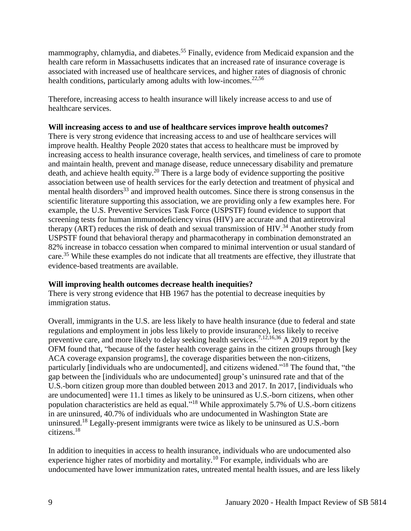mammography, chlamydia, and diabetes.<sup>55</sup> Finally, evidence from Medicaid expansion and the health care reform in Massachusetts indicates that an increased rate of insurance coverage is associated with increased use of healthcare services, and higher rates of diagnosis of chronic health conditions, particularly among adults with low-incomes.<sup>22,56</sup>

Therefore, increasing access to health insurance will likely increase access to and use of healthcare services.

### Will increasing access to and use of healthcare services improve health outcomes?

There is very strong evidence that increasing access to and use of healthcare services will improve health. Healthy People 2020 states that access to healthcare must be improved by increasing access to health insurance coverage, health services, and timeliness of care to promote and maintain health, prevent and manage disease, reduce unnecessary disability and premature death, and achieve health equity.<sup>20</sup> There is a large body of evidence supporting the positive association between use of health services for the early detection and treatment of physical and mental health disorders<sup>33</sup> and improved health outcomes. Since there is strong consensus in the scientific literature supporting this association, we are providing only a few examples here. For example, the U.S. Preventive Services Task Force (USPSTF) found evidence to support that screening tests for human immunodeficiency virus (HIV) are accurate and that antiretroviral therapy (ART) reduces the risk of death and sexual transmission of HIV.<sup>34</sup> Another study from USPSTF found that behavioral therapy and pharmacotherapy in combination demonstrated an 82% increase in tobacco cessation when compared to minimal intervention or usual standard of care.<sup>35</sup> While these examples do not indicate that all treatments are effective, they illustrate that evidence-based treatments are available.

#### **Will improving health outcomes decrease health inequities?**

There is very strong evidence that HB 1967 has the potential to decrease inequities by immigration status.

Overall, immigrants in the U.S. are less likely to have health insurance (due to federal and state regulations and employment in jobs less likely to provide insurance), less likely to receive preventive care, and more likely to delay seeking health services.<sup>7,12,16,36</sup> A 2019 report by the OFM found that, "because of the faster health coverage gains in the citizen groups through [key ACA coverage expansion programs], the coverage disparities between the non-citizens, particularly [individuals who are undocumented], and citizens widened."<sup>18</sup> The found that, "the gap between the [individuals who are undocumented] group's uninsured rate and that of the U.S.-born citizen group more than doubled between 2013 and 2017. In 2017, [individuals who are undocumented] were 11.1 times as likely to be uninsured as U.S.-born citizens, when other population characteristics are held as equal."<sup>18</sup> While approximately 5.7% of U.S.-born citizens in are uninsured, 40.7% of individuals who are undocumented in Washington State are uninsured.<sup>18</sup> Legally-present immigrants were twice as likely to be uninsured as U.S.-born citizens. 18

In addition to inequities in access to health insurance, individuals who are undocumented also experience higher rates of morbidity and mortality.<sup>10</sup> For example, individuals who are undocumented have lower immunization rates, untreated mental health issues, and are less likely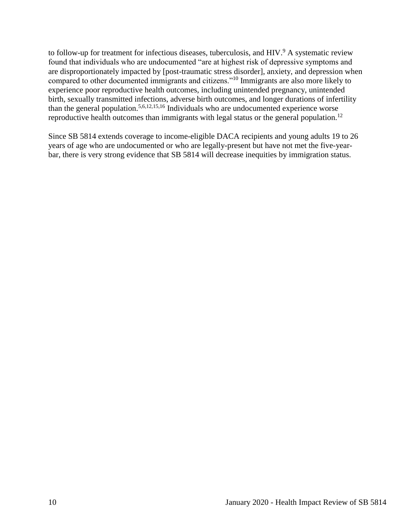to follow-up for treatment for infectious diseases, tuberculosis, and HIV.<sup>9</sup> A systematic review found that individuals who are undocumented "are at highest risk of depressive symptoms and are disproportionately impacted by [post-traumatic stress disorder], anxiety, and depression when compared to other documented immigrants and citizens."<sup>10</sup> Immigrants are also more likely to experience poor reproductive health outcomes, including unintended pregnancy, unintended birth, sexually transmitted infections, adverse birth outcomes, and longer durations of infertility than the general population.<sup>5,6,12,15,16</sup> Individuals who are undocumented experience worse reproductive health outcomes than immigrants with legal status or the general population.<sup>12</sup>

<span id="page-11-0"></span>Since SB 5814 extends coverage to income-eligible DACA recipients and young adults 19 to 26 years of age who are undocumented or who are legally-present but have not met the five-yearbar, there is very strong evidence that SB 5814 will decrease inequities by immigration status.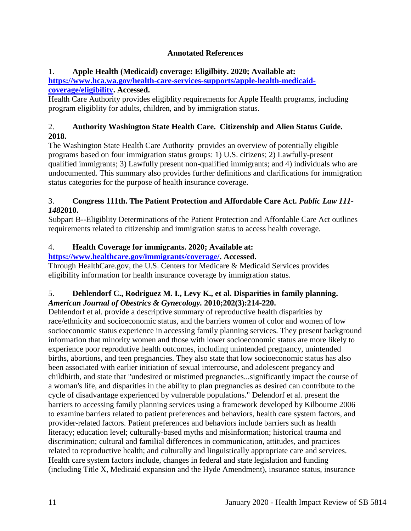# **Annotated References**

# 1. **Apple Health (Medicaid) coverage: Eligilbity. 2020; Available at:**

**[https://www.hca.wa.gov/health-care-services-supports/apple-health-medicaid](https://www.hca.wa.gov/health-care-services-supports/apple-health-medicaid-coverage/eligibility)[coverage/eligibility.](https://www.hca.wa.gov/health-care-services-supports/apple-health-medicaid-coverage/eligibility) Accessed.**

Health Care Authority provides eligiblity requirements for Apple Health programs, including program eligiblity for adults, children, and by immigration status.

# 2. **Authority Washington State Health Care. Citizenship and Alien Status Guide. 2018.**

The Washington State Health Care Authority provides an overview of potentially eligible programs based on four immigration status groups: 1) U.S. citizens; 2) Lawfully-present qualified immigrants; 3) Lawfully present non-qualified immigrants; and 4) individuals who are undocumented. This summary also provides further definitions and clarifications for immigration status categories for the purpose of health insurance coverage.

# 3. **Congress 111th. The Patient Protection and Affordable Care Act.** *Public Law 111- 148***2010.**

Subpart B--Eligiblity Determinations of the Patient Protection and Affordable Care Act outlines requirements related to citizenship and immigration status to access health coverage.

# 4. **Health Coverage for immigrants. 2020; Available at:**

# **[https://www.healthcare.gov/immigrants/coverage/.](https://www.healthcare.gov/immigrants/coverage/) Accessed.**

Through HealthCare.gov, the U.S. Centers for Medicare & Medicaid Services provides eligibility information for health insurance coverage by immigration status.

# 5. **Dehlendorf C., Rodriguez M. I., Levy K., et al. Disparities in family planning.**  *American Journal of Obestrics & Gynecology.* **2010;202(3):214-220.**

Dehlendorf et al. provide a descriptive summary of reproductive health disparities by race/ethnicity and socioeconomic status, and the barriers women of color and women of low socioeconomic status experience in accessing family planning services. They present background information that minority women and those with lower socioeconomic status are more likely to experience poor reprodutive health outcomes, including unintended pregnancy, unintended births, abortions, and teen pregnancies. They also state that low socioeconomic status has also been associated with earlier initiation of sexual intercourse, and adolescent pregancy and childbirth, and state that "undesired or mistimed pregnancies...significantly impact the course of a woman's life, and disparities in the ability to plan pregnancies as desired can contribute to the cycle of disadvantage experienced by vulnerable populations." Delendorf et al. present the barriers to accessing family planning services using a framework developed by Kilbourne 2006 to examine barriers related to patient preferences and behaviors, health care system factors, and provider-related factors. Patient preferences and behaviors include barriers such as health literacy; education level; culturally-based myths and misinformation; historical trauma and discrimination; cultural and familial differences in communication, attitudes, and practices related to reproductive health; and culturally and linguistically appropriate care and services. Health care system factors include, changes in federal and state legislation and funding (including Title X, Medicaid expansion and the Hyde Amendment), insurance status, insurance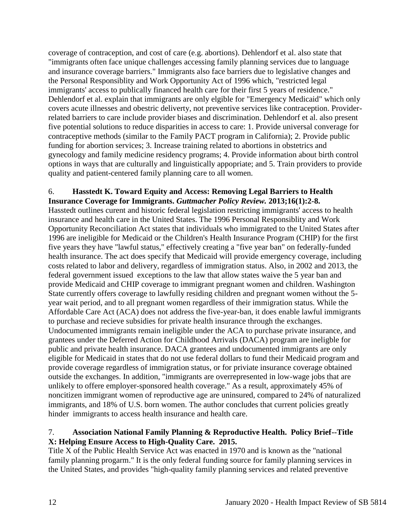coverage of contraception, and cost of care (e.g. abortions). Dehlendorf et al. also state that "immigrants often face unique challenges accessing family planning services due to language and insurance coverage barriers." Immigrants also face barriers due to legislative changes and the Personal Responsiblity and Work Opportunity Act of 1996 which, "restricted legal immigrants' access to publically financed health care for their first 5 years of residence." Dehlendorf et al. explain that immigrants are only elgible for "Emergency Medicaid" which only covers acute illnesses and obestric deliverty, not preventive services like contraception. Providerrelated barriers to care include provider biases and discrimination. Dehlendorf et al. also present five potential solutions to reduce disparities in access to care: 1. Provide universal converage for contraceptive methods (similar to the Family PACT program in California); 2. Provide public funding for abortion services; 3. Increase training related to abortions in obstetrics and gynecology and family medicine residency programs; 4. Provide information about birth control options in ways that are culturally and linguistically appopriate; and 5. Train providers to provide quality and patient-centered family planning care to all women.

#### 6. **Hasstedt K. Toward Equity and Access: Removing Legal Barriers to Health Insurance Coverage for Immigrants.** *Guttmacher Policy Review.* **2013;16(1):2-8.**

Hasstedt outlines curent and historic federal legislation restricting immigrants' access to health insurance and health care in the United States. The 1996 Personal Responsiblity and Work Opportunity Reconciliation Act states that individuals who immigrated to the United States after 1996 are ineligible for Medicaid or the Children's Health Insurance Program (CHIP) for the first five years they have "lawful status," effectively creating a "five year ban" on federally-funded health insurance. The act does specify that Medicaid will provide emergency coverage, including costs related to labor and delivery, regardless of immigration status. Also, in 2002 and 2013, the federal government issued exceptions to the law that allow states waive the 5 year ban and provide Medicaid and CHIP coverage to immigrant pregnant women and children. Washington State currently offers coverage to lawfully residing children and pregnant women without the 5 year wait period, and to all pregnant women regardless of their immigration status. While the Affordable Care Act (ACA) does not address the five-year-ban, it does enable lawful immigrants to purchase and recieve subsidies for private health insurance through the exchanges. Undocumented immigrants remain ineligible under the ACA to purchase private insurance, and grantees under the Deferred Action for Childhood Arrivals (DACA) program are ineligble for public and private health insurance. DACA grantees and undocumented immigrants are only eligible for Medicaid in states that do not use federal dollars to fund their Medicaid program and provide coverage regardless of immigration status, or for priviate insurance coverage obtained outside the exchanges. In addition, "immigrants are overrepresented in low-wage jobs that are unlikely to offere employer-sponsored health coverage." As a result, approximately 45% of noncitizen immigrant women of reproductive age are uninsured, compared to 24% of naturalized immigrants, and 18% of U.S. born women. The author concludes that current policies greatly hinder immigrants to access health insurance and health care.

# 7. **Association National Family Planning & Reproductive Health. Policy Brief--Title X: Helping Ensure Access to High-Quality Care. 2015.**

Title X of the Public Health Service Act was enacted in 1970 and is known as the "national family planning progarm." It is the only federal funding source for family planning services in the United States, and provides "high-quality family planning services and related preventive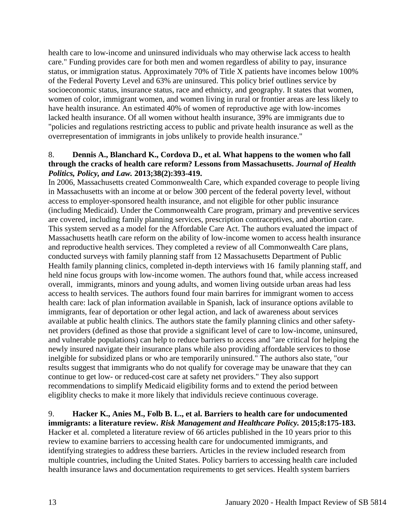health care to low-income and uninsured individuals who may otherwise lack access to health care." Funding provides care for both men and women regardless of ability to pay, insurance status, or immigration status. Approximately 70% of Title X patients have incomes below 100% of the Federal Poverty Level and 63% are uninsured. This policy brief outlines service by socioeconomic status, insurance status, race and ethnicty, and geography. It states that women, women of color, immigrant women, and women living in rural or frontier areas are less likely to have health insurance. An estimated 40% of women of reproductive age with low-incomes lacked health insurance. Of all women without health insurance, 39% are immigrants due to "policies and regulations restricting access to public and private health insurance as well as the overrepresentation of immigrants in jobs unlikely to provide health insurance."

### 8. **Dennis A., Blanchard K., Cordova D., et al. What happens to the women who fall through the cracks of health care reform? Lessons from Massachusetts.** *Journal of Health Politics, Policy, and Law.* **2013;38(2):393-419.**

In 2006, Massachusetts created Commonwealth Care, which expanded coverage to people living in Massachusetts with an income at or below 300 percent of the federal poverty level, without access to employer-sponsored health insurance, and not eligible for other public insurance (including Medicaid). Under the Commonwealth Care program, primary and preventive services are covered, including family planning services, prescription contraceptives, and abortion care. This system served as a model for the Affordable Care Act. The authors evaluated the impact of Massachusetts heatlh care reform on the ability of low-income women to access health insurance and reproductive health services. They completed a review of all Commonwealth Care plans, conducted surveys with family planning staff from 12 Massachusetts Department of Public Health family planning clinics, completed in-depth interviews with 16 family planning staff, and held nine focus groups with low-income women. The authors found that, while access increased overall, immigrants, minors and young adults, and women living outside urban areas had less access to health services. The authors found four main barrires for immigrant women to access health care: lack of plan information available in Spanish, lack of insurance options avilable to immigrants, fear of deportation or other legal action, and lack of awareness about services available at public health clinics. The authors state the family planning clinics and other safetynet providers (defined as those that provide a significant level of care to low-income, uninsured, and vulnerable populations) can help to reduce barriers to access and "are critical for helping the newly insured navigate their insurance plans while also providing affordable services to those inelgible for subsidized plans or who are temporarily uninsured." The authors also state, "our results suggest that immigrants who do not qualify for coverage may be unaware that they can continue to get low- or reduced-cost care at safety net providers." They also support recommendations to simplify Medicaid eligibility forms and to extend the period between eligiblity checks to make it more likely that individuls recieve continuous coverage.

# 9. **Hacker K., Anies M., Folb B. L., et al. Barriers to health care for undocumented**

**immigrants: a literature review.** *Risk Management and Healthcare Policy.* **2015;8:175-183.** Hacker et al. completed a literature review of 66 articles published in the 10 years prior to this review to examine barriers to accessing health care for undocumented immigrants, and identifying strategies to address these barriers. Articles in the review included research from multiple countries, including the United States. Policy barriers to accessing health care included health insurance laws and documentation requirements to get services. Health system barriers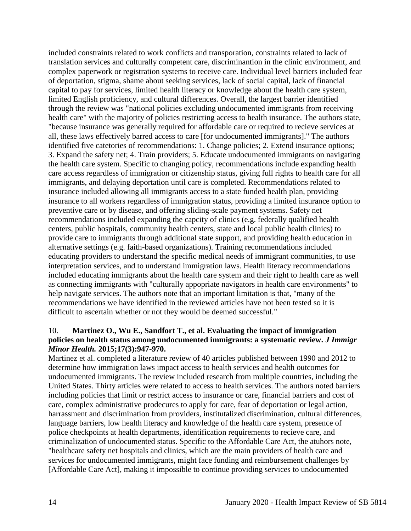included constraints related to work conflicts and transporation, constraints related to lack of translation services and culturally competent care, discriminantion in the clinic environment, and complex paperwork or registration systems to receive care. Individual level barriers included fear of deportation, stigma, shame about seeking services, lack of social capital, lack of financial capital to pay for services, limited health literacy or knowledge about the health care system, limited English proficiency, and cultural differences. Overall, the largest barrier identified through the review was "national policies excluding undocumented immigrants from receiving health care" with the majority of policies restricting access to health insurance. The authors state, "because insurance was generally required for affordable care or required to recieve services at all, these laws effectively barred access to care [for undocumented immigrants]." The authors identified five catetories of recommendations: 1. Change policies; 2. Extend insurance options; 3. Expand the safety net; 4. Train providers; 5. Educate undocumented immigrants on navigating the health care system. Specific to changing policy, recommendations include expanding health care access regardless of immigration or citizenship status, giving full rights to health care for all immigrants, and delaying deportation until care is completed. Recommendations related to insurance included allowing all immigrants access to a state funded health plan, providing insurance to all workers regardless of immigration status, providing a limited insurance option to preventive care or by disease, and offering sliding-scale payment systems. Safety net recommendations included expanding the capcity of clinics (e.g. federally qualified health centers, public hospitals, community health centers, state and local public health clinics) to provide care to immigrants through additional state support, and providing health education in alternative settings (e.g. faith-based organizations). Training recommendations included educating providers to understand the specific medical needs of immigrant communities, to use interpretation services, and to understand immigration laws. Health literacy recommendations included educating immigrants about the health care system and their right to health care as well as connecting immigrants with "culturally appopriate navigators in health care environments" to help navigate services. The authors note that an important limitation is that, "many of the recommendations we have identified in the reviewed articles have not been tested so it is difficult to ascertain whether or not they would be deemed successful."

### 10. **Martinez O., Wu E., Sandfort T., et al. Evaluating the impact of immigration policies on health status among undocumented immigrants: a systematic review.** *J Immigr Minor Health.* **2015;17(3):947-970.**

Martinez et al. completed a literature review of 40 articles published between 1990 and 2012 to determine how immigration laws impact access to health services and health outcomes for undocumented immigrants. The review included research from multiple countries, including the United States. Thirty articles were related to access to health services. The authors noted barriers including policies that limit or restrict access to insurance or care, financial barriers and cost of care, complex administrative prodecures to apply for care, fear of deportation or legal action, harrassment and discrimination from providers, institutalized discrimination, cultural differences, language barriers, low health literacy and knowledge of the health care system, presence of police checkpoints at health departments, identification requirements to recieve care, and criminalization of undocumented status. Specific to the Affordable Care Act, the atuhors note, "healthcare safety net hospitals and clinics, which are the main providers of health care and services for undocumented immigrants, might face funding and reimbursement challenges by [Affordable Care Act], making it impossible to continue providing services to undocumented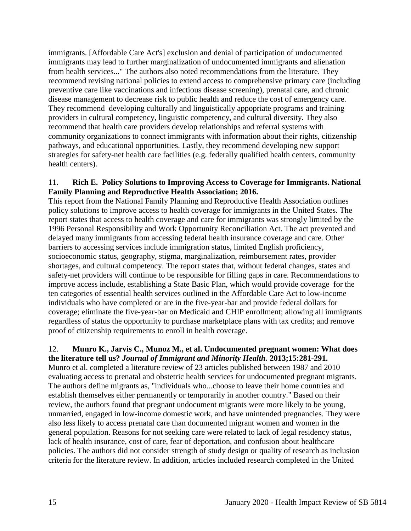immigrants. [Affordable Care Act's] exclusion and denial of participation of undocumented immigrants may lead to further marginalization of undocumented immigrants and alienation from health services..." The authors also noted recommendations from the literature. They recommend revising national policies to extend access to comprehensive primary care (including preventive care like vaccinations and infectious disease screening), prenatal care, and chronic disease management to decrease risk to public health and reduce the cost of emergency care. They recommend developing culturally and linguistically appopriate programs and training providers in cultural competency, linguistic competency, and cultural diversity. They also recommend that health care providers develop relationships and referral systems with community organizations to connect immigrants with information about their rights, citizenship pathways, and educational opportunities. Lastly, they recommend developing new support strategies for safety-net health care facilities (e.g. federally qualified health centers, community health centers).

### 11. **Rich E. Policy Solutions to Improving Access to Coverage for Immigrants. National Family Planning and Reproductive Health Association; 2016.**

This report from the National Family Planning and Reproductive Health Association outlines policy solutions to improve access to health coverage for immigrants in the United States. The report states that access to health coverage and care for immigrants was strongly limited by the 1996 Personal Responsibility and Work Opportunity Reconciliation Act. The act prevented and delayed many immigrants from accessing federal health insurance coverage and care. Other barriers to accessing services include immigration status, limited English proficiency, socioeconomic status, geography, stigma, marginalization, reimbursement rates, provider shortages, and cultural competency. The report states that, without federal changes, states and safety-net providers will continue to be responsible for filling gaps in care. Recommendations to improve access include, establishing a State Basic Plan, which would provide coverage for the ten categories of essential health services outlined in the Affordable Care Act to low-income individuals who have completed or are in the five-year-bar and provide federal dollars for coverage; eliminate the five-year-bar on Medicaid and CHIP enrollment; allowing all immigrants regardless of status the opportunity to purchase marketplace plans with tax credits; and remove proof of citizenship requirements to enroll in health coverage.

### 12. **Munro K., Jarvis C., Munoz M., et al. Undocumented pregnant women: What does the literature tell us?** *Journal of Immigrant and Minority Health.* **2013;15:281-291.**

Munro et al. completed a literature review of 23 articles published between 1987 and 2010 evaluating access to prenatal and obstetric health services for undocumented pregnant migrants. The authors define migrants as, "individuals who...choose to leave their home countries and establish themselves either permanently or temporarily in another country." Based on their review, the authors found that pregnant undocument migrants were more likely to be young, unmarried, engaged in low-income domestic work, and have unintended pregnancies. They were also less likely to access prenatal care than documented migrant women and women in the general population. Reasons for not seeking care were related to lack of legal residency status, lack of health insurance, cost of care, fear of deportation, and confusion about healthcare policies. The authors did not consider strength of study design or quality of research as inclusion criteria for the literature review. In addition, articles included research completed in the United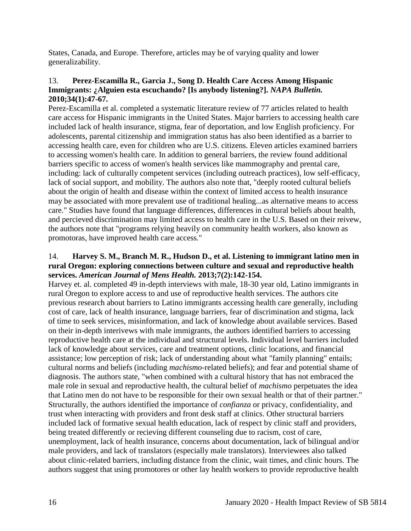States, Canada, and Europe. Therefore, articles may be of varying quality and lower generalizability.

### 13. **Perez-Escamilla R., Garcia J., Song D. Health Care Access Among Hispanic Immigrants: ¿Alguien esta escuchando? [Is anybody listening?].** *NAPA Bulletin.*  **2010;34(1):47-67.**

Perez-Escamilla et al. completed a systematic literature review of 77 articles related to health care access for Hispanic immigrants in the United States. Major barriers to accessing health care included lack of health insurance, stigma, fear of deportation, and low English proficiency. For adolescents, parental citizenship and immigration status has also been identified as a barrier to accessing health care, even for children who are U.S. citizens. Eleven articles examined barriers to accessing women's health care. In addition to general barriers, the review found additional barriers specific to access of women's health services like mammography and prental care, including: lack of culturally competent services (including outreach practices), low self-efficacy, lack of social support, and mobility. The authors also note that, "deeply rooted cultural beliefs about the origin of health and disease within the context of limited access to health insurance may be associated with more prevalent use of traditional healing...as alternative means to access care." Studies have found that language differences, differences in cultural beliefs about health, and percieved discrimination may limited access to health care in the U.S. Based on their reivew, the authors note that "programs relying heavily on community health workers, also known as promotoras, have improved health care access."

### 14. **Harvey S. M., Branch M. R., Hudson D., et al. Listening to immigrant latino men in rural Oregon: exploring connections between culture and sexual and reproductive health services.** *American Journal of Mens Health.* **2013;7(2):142-154.**

Harvey et. al. completed 49 in-depth interviews with male, 18-30 year old, Latino immigrants in rural Oregon to explore access to and use of reproductive health services. The authors cite previous research about barriers to Latino immigrants accessing health care generally, including cost of care, lack of health insurance, language barriers, fear of discrimination and stigma, lack of time to seek services, misinformation, and lack of knowledge about available services. Based on their in-depth interivews with male immigrants, the authors identified barriers to accessing reproductive health care at the individual and structural levels. Individual level barriers included lack of knowledge about services, care and treatment options, clinic locations, and financial assistance; low perception of risk; lack of understanding about what "family planning" entails; cultural norms and beliefs (including *machismo*-related beliefs); and fear and potential shame of diagnosis. The authors state, "when combined with a cultural history that has not embraced the male role in sexual and reproductive health, the cultural belief of *machismo* perpetuates the idea that Latino men do not have to be responsible for their own sexual health or that of their partner." Structurally, the authors identified the importance of *confianza* or privacy, confidentiality, and trust when interacting with providers and front desk staff at clinics. Other structural barriers included lack of formative sexual health education, lack of respect by clinic staff and providers, being treated differently or recieving different counseling due to racism, cost of care, unemployment, lack of health insurance, concerns about documentation, lack of bilingual and/or male providers, and lack of translators (especially male translators). Interviewees also talked about clinic-related barriers, including distance from the clinic, wait times, and clinic hours. The authors suggest that using promotores or other lay health workers to provide reproductive health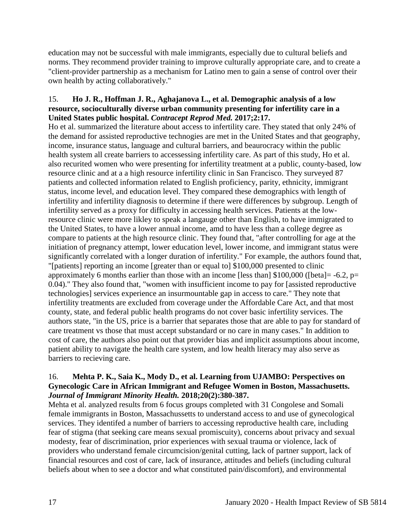education may not be successful with male immigrants, especially due to cultural beliefs and norms. They recommend provider training to improve culturally appropriate care, and to create a "client-provider partnership as a mechanism for Latino men to gain a sense of control over their own health by acting collaboratively."

### 15. **Ho J. R., Hoffman J. R., Aghajanova L., et al. Demographic analysis of a low resource, socioculturally diverse urban community presenting for infertility care in a United States public hospital.** *Contracept Reprod Med.* **2017;2:17.**

Ho et al. summarized the literature about access to infertility care. They stated that only 24% of the demand for assisted reproductive technogies are met in the United States and that geography, income, insurance status, language and cultural barriers, and beaurocracy within the public health system all create barriers to accessessing infertility care. As part of this study, Ho et al. also recurited women who were presenting for infertility treatment at a public, county-based, low resource clinic and at a a high resource infertility clinic in San Francisco. They surveyed 87 patients and collected information related to English proficiency, parity, ethnicity, immigrant status, income level, and education level. They compared these demographics with length of infertility and infertility diagnosis to determine if there were differences by subgroup. Length of infertility served as a proxy for difficulty in accessing health services. Patients at the lowresource clinic were more likley to speak a langauge other than English, to have immigrated to the United States, to have a lower annual income, amd to have less than a college degree as compare to patients at the high resource clinic. They found that, "after controlling for age at the initiation of pregnancy attempt, lower education level, lower income, and immigrant status were significantly correlated with a longer duration of infertility." For example, the authors found that, "[patients] reporting an income [greater than or equal to] \$100,000 presented to clinic approximately 6 months earlier than those with an income [less than]  $$100,000$  ([beta] = -6.2, p= 0.04)." They also found that, "women with insufficient income to pay for [assisted reproductive technologies] services experience an insurmountable gap in access to care." They note that infertility treatments are excluded from coverage under the Affordable Care Act, and that most county, state, and federal public health programs do not cover basic infertility services. The authors state, "in the US, price is a barrier that separates those that are able to pay for standard of care treatment vs those that must accept substandard or no care in many cases." In addition to cost of care, the authors also point out that provider bias and implicit assumptions about income, patient ability to navigate the health care system, and low health literacy may also serve as barriers to recieving care.

### 16. **Mehta P. K., Saia K., Mody D., et al. Learning from UJAMBO: Perspectives on Gynecologic Care in African Immigrant and Refugee Women in Boston, Massachusetts.**  *Journal of Immigrant Minority Health.* **2018;20(2):380-387.**

Mehta et al. analyzed results from 6 focus groups completed with 31 Congolese and Somali female immigrants in Boston, Massachussetts to understand access to and use of gynecological services. They identifed a number of barriers to accessing reproductive health care, including fear of stigma (that seeking care means sexual promiscuity), concerns about privacy and sexual modesty, fear of discrimination, prior experiences with sexual trauma or violence, lack of providers who understand female circumcision/genital cutting, lack of partner support, lack of financial resources and cost of care, lack of insurance, attitudes and beliefs (including cultural beliefs about when to see a doctor and what constituted pain/discomfort), and environmental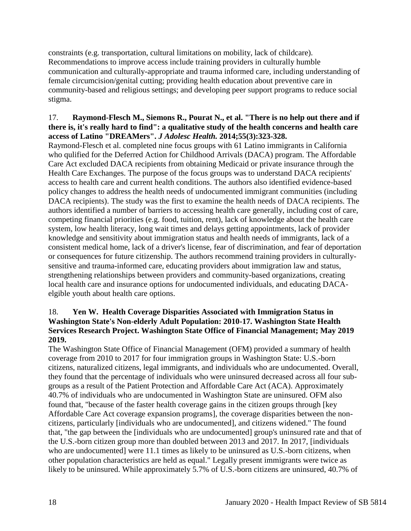constraints (e.g. transportation, cultural limitations on mobility, lack of childcare). Recommendations to improve access include training providers in culturally humble communication and culturally-appropriate and trauma informed care, including understanding of female circumcision/genital cutting; providing health education about preventive care in community-based and religious settings; and developing peer support programs to reduce social stigma.

### 17. **Raymond-Flesch M., Siemons R., Pourat N., et al. "There is no help out there and if there is, it's really hard to find": a qualitative study of the health concerns and health care access of Latino "DREAMers".** *J Adolesc Health.* **2014;55(3):323-328.**

Raymond-Flesch et al. completed nine focus groups with 61 Latino immigrants in California who qulified for the Deferred Action for Childhood Arrivals (DACA) program. The Affordable Care Act excluded DACA recipients from obtaining Medicaid or private insurance through the Health Care Exchanges. The purpose of the focus groups was to understand DACA recipients' access to health care and current health conditions. The authors also identified evidence-based policy changes to address the health needs of undocumented immigrant communities (including DACA recipients). The study was the first to examine the health needs of DACA recipients. The authors identified a number of barriers to accessing health care generally, including cost of care, competing financial priorities (e.g. food, tuition, rent), lack of knowledge about the health care system, low health literacy, long wait times and delays getting appointments, lack of provider knowledge and sensitivity about immigration status and health needs of immigrants, lack of a consistent medical home, lack of a driver's license, fear of discrimination, and fear of deportation or consequences for future citizenship. The authors recommend training providers in culturallysensitive and trauma-informed care, educating providers about immigration law and status, strengthening relationships between providers and community-based organizations, creating local health care and insurance options for undocumented individuals, and educating DACAelgible youth about health care options.

### 18. **Yen W. Health Coverage Disparities Associated with Immigration Status in Washington State's Non-elderly Adult Population: 2010-17. Washington State Health Services Research Project. Washington State Office of Financial Management; May 2019 2019.**

The Washington State Office of Financial Management (OFM) provided a summary of health coverage from 2010 to 2017 for four immigration groups in Washington State: U.S.-born citizens, naturalized citizens, legal immigrants, and individuals who are undocumented. Overall, they found that the percentage of individuals who were uninsured decreased across all four subgroups as a result of the Patient Protection and Affordable Care Act (ACA). Approximately 40.7% of individuals who are undocumented in Washington State are uninsured. OFM also found that, "because of the faster health coverage gains in the citizen groups through [key Affordable Care Act coverage expansion programs], the coverage disparities between the noncitizens, particularly [individuals who are undocumented], and citizens widened." The found that, "the gap between the [individuals who are undocumented] group's uninsured rate and that of the U.S.-born citizen group more than doubled between 2013 and 2017. In 2017, [individuals who are undocumented] were 11.1 times as likely to be uninsured as U.S.-born citizens, when other population characteristics are held as equal." Legally present immigrants were twice as likely to be uninsured. While approximately 5.7% of U.S.-born citizens are uninsured, 40.7% of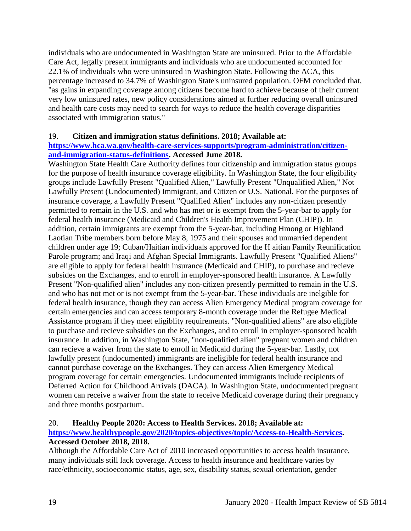individuals who are undocumented in Washington State are uninsured. Prior to the Affordable Care Act, legally present immigrants and individuals who are undocumented accounted for 22.1% of individuals who were uninsured in Washington State. Following the ACA, this percentage increased to 34.7% of Washington State's uninsured population. OFM concluded that, "as gains in expanding coverage among citizens become hard to achieve because of their current very low uninsured rates, new policy considerations aimed at further reducing overall uninsured and health care costs may need to search for ways to reduce the health coverage disparities associated with immigration status."

### 19. **Citizen and immigration status definitions. 2018; Available at:**

### **[https://www.hca.wa.gov/health-care-services-supports/program-administration/citizen](https://www.hca.wa.gov/health-care-services-supports/program-administration/citizen-and-immigration-status-definitions)[and-immigration-status-definitions.](https://www.hca.wa.gov/health-care-services-supports/program-administration/citizen-and-immigration-status-definitions) Accessed June 2018.**

Washington State Health Care Authority defines four citizenship and immigration status groups for the purpose of health insurance coverage eligibility. In Washington State, the four eligibility groups include Lawfully Present "Qualified Alien," Lawfully Present "Unqualified Alien," Not Lawfully Present (Undocumented) Immigrant, and Citizen or U.S. National. For the purposes of insurance coverage, a Lawfully Present "Qualified Alien" includes any non-citizen presently permitted to remain in the U.S. and who has met or is exempt from the 5-year-bar to apply for federal health insurance (Medicaid and Children's Health Improvement Plan (CHIP)). In addition, certain immigrants are exempt from the 5-year-bar, including Hmong or Highland Laotian Tribe members born before May 8, 1975 and their spouses and unmarried dependent children under age 19; Cuban/Haitian individuals approved for the H aitian Family Reunification Parole program; and Iraqi and Afghan Special Immigrants. Lawfully Present "Qualified Aliens" are eligible to apply for federal health insurance (Medicaid and CHIP), to purchase and recieve subsides on the Exchanges, and to enroll in employer-sponsored health insurance. A Lawfully Present "Non-qualified alien" includes any non-citizen presently permitted to remain in the U.S. and who has not met or is not exempt from the 5-year-bar. These individuals are inelgible for federal health insurance, though they can access Alien Emergency Medical program coverage for certain emergencies and can access temporary 8-month coverage under the Refugee Medical Assistance program if they meet eligiblity requirements. "Non-qualified aliens" are also eligible to purchase and recieve subsidies on the Exchanges, and to enroll in employer-sponsored health insurance. In addition, in Washington State, "non-qualified alien" pregnant women and children can recieve a waiver from the state to enroll in Medicaid during the 5-year-bar. Lastly, not lawfully present (undocumented) immigrants are ineligible for federal health insurance and cannot purchase coverage on the Exchanges. They can access Alien Emergency Medical program coverage for certain emergencies. Undocumented immigrants include recipients of Deferred Action for Childhood Arrivals (DACA). In Washington State, undocumented pregnant women can receive a waiver from the state to receive Medicaid coverage during their pregnancy and three months postpartum.

#### 20. **Healthy People 2020: Access to Health Services. 2018; Available at:**

### **[https://www.healthypeople.gov/2020/topics-objectives/topic/Access-to-Health-Services.](https://www.healthypeople.gov/2020/topics-objectives/topic/Access-to-Health-Services) Accessed October 2018, 2018.**

Although the Affordable Care Act of 2010 increased opportunities to access health insurance, many individuals still lack coverage. Access to health insurance and healthcare varies by race/ethnicity, socioeconomic status, age, sex, disability status, sexual orientation, gender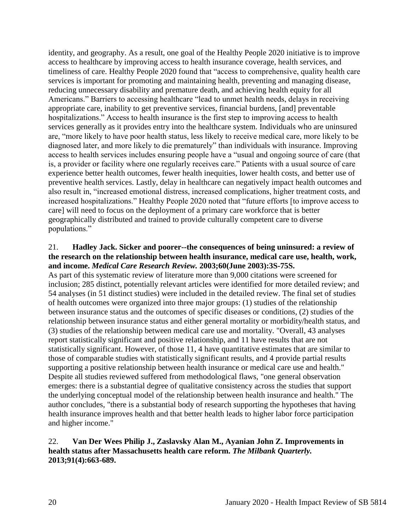identity, and geography. As a result, one goal of the Healthy People 2020 initiative is to improve access to healthcare by improving access to health insurance coverage, health services, and timeliness of care. Healthy People 2020 found that "access to comprehensive, quality health care services is important for promoting and maintaining health, preventing and managing disease, reducing unnecessary disability and premature death, and achieving health equity for all Americans." Barriers to accessing healthcare "lead to unmet health needs, delays in receiving appropriate care, inability to get preventive services, financial burdens, [and] preventable hospitalizations." Access to health insurance is the first step to improving access to health services generally as it provides entry into the healthcare system. Individuals who are uninsured are, "more likely to have poor health status, less likely to receive medical care, more likely to be diagnosed later, and more likely to die prematurely" than individuals with insurance. Improving access to health services includes ensuring people have a "usual and ongoing source of care (that is, a provider or facility where one regularly receives care." Patients with a usual source of care experience better health outcomes, fewer health inequities, lower health costs, and better use of preventive health services. Lastly, delay in healthcare can negatively impact health outcomes and also result in, "increased emotional distress, increased complications, higher treatment costs, and increased hospitalizations." Healthy People 2020 noted that "future efforts [to improve access to care] will need to focus on the deployment of a primary care workforce that is better geographically distributed and trained to provide culturally competent care to diverse populations."

### 21. **Hadley Jack. Sicker and poorer--the consequences of being uninsured: a review of the research on the relationship between health insurance, medical care use, health, work, and income.** *Medical Care Research Review.* **2003;60(June 2003):3S-75S.**

As part of this systematic review of literature more than 9,000 citations were screened for inclusion; 285 distinct, potentially relevant articles were identified for more detailed review; and 54 analyses (in 51 distinct studies) were included in the detailed review. The final set of studies of health outcomes were organized into three major groups: (1) studies of the relationship between insurance status and the outcomes of specific diseases or conditions, (2) studies of the relationship between insurance status and either general mortality or morbidity/health status, and (3) studies of the relationship between medical care use and mortality. "Overall, 43 analyses report statistically significant and positive relationship, and 11 have results that are not statistically significant. However, of those 11, 4 have quantitative estimates that are similar to those of comparable studies with statistically significant results, and 4 provide partial results supporting a positive relationship between health insurance or medical care use and health." Despite all studies reviewed suffered from methodological flaws, "one general observation emerges: there is a substantial degree of qualitative consistency across the studies that support the underlying conceptual model of the relationship between health insurance and health." The author concludes, "there is a substantial body of research supporting the hypotheses that having health insurance improves health and that better health leads to higher labor force participation and higher income."

### 22. **Van Der Wees Philip J., Zaslavsky Alan M., Ayanian John Z. Improvements in health status after Massachusetts health care reform.** *The Milbank Quarterly.*  **2013;91(4):663-689.**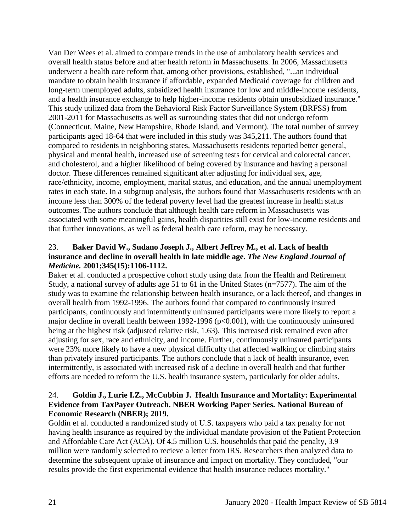Van Der Wees et al. aimed to compare trends in the use of ambulatory health services and overall health status before and after health reform in Massachusetts. In 2006, Massachusetts underwent a health care reform that, among other provisions, established, "...an individual mandate to obtain health insurance if affordable, expanded Medicaid coverage for children and long-term unemployed adults, subsidized health insurance for low and middle-income residents, and a health insurance exchange to help higher-income residents obtain unsubsidized insurance." This study utilized data from the Behavioral Risk Factor Surveillance System (BRFSS) from 2001-2011 for Massachusetts as well as surrounding states that did not undergo reform (Connecticut, Maine, New Hampshire, Rhode Island, and Vermont). The total number of survey participants aged 18-64 that were included in this study was 345,211. The authors found that compared to residents in neighboring states, Massachusetts residents reported better general, physical and mental health, increased use of screening tests for cervical and colorectal cancer, and cholesterol, and a higher likelihood of being covered by insurance and having a personal doctor. These differences remained significant after adjusting for individual sex, age, race/ethnicity, income, employment, marital status, and education, and the annual unemployment rates in each state. In a subgroup analysis, the authors found that Massachusetts residents with an income less than 300% of the federal poverty level had the greatest increase in health status outcomes. The authors conclude that although health care reform in Massachusetts was associated with some meaningful gains, health disparities still exist for low-income residents and that further innovations, as well as federal health care reform, may be necessary.

# 23. **Baker David W., Sudano Joseph J., Albert Jeffrey M., et al. Lack of health insurance and decline in overall health in late middle age.** *The New England Journal of Medicine.* **2001;345(15):1106-1112.**

Baker et al. conducted a prospective cohort study using data from the Health and Retirement Study, a national survey of adults age 51 to 61 in the United States (n=7577). The aim of the study was to examine the relationship between health insurance, or a lack thereof, and changes in overall health from 1992-1996. The authors found that compared to continuously insured participants, continuously and intermittently uninsured participants were more likely to report a major decline in overall health between 1992-1996 (p<0.001), with the continuously uninsured being at the highest risk (adjusted relative risk, 1.63). This increased risk remained even after adjusting for sex, race and ethnicity, and income. Further, continuously uninsured participants were 23% more likely to have a new physical difficulty that affected walking or climbing stairs than privately insured participants. The authors conclude that a lack of health insurance, even intermittently, is associated with increased risk of a decline in overall health and that further efforts are needed to reform the U.S. health insurance system, particularly for older adults.

### 24. **Goldin J., Lurie I.Z., McCubbin J. Health Insurance and Mortality: Experimental Evidence from TaxPayer Outreach. NBER Working Paper Series. National Bureau of Economic Research (NBER); 2019.**

Goldin et al. conducted a randomized study of U.S. taxpayers who paid a tax penalty for not having health insurance as required by the individual mandate provision of the Patient Protection and Affordable Care Act (ACA). Of 4.5 million U.S. households that paid the penalty, 3.9 million were randomly selected to recieve a letter from IRS. Researchers then analyzed data to determine the subsequent uptake of insurance and impact on mortality. They concluded, "our results provide the first experimental evidence that health insurance reduces mortality."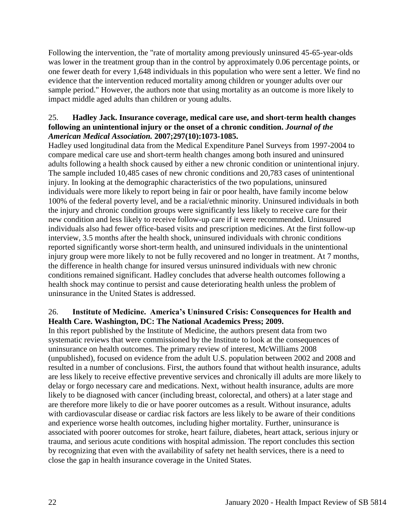Following the intervention, the "rate of mortality among previously uninsured 45-65-year-olds was lower in the treatment group than in the control by approximately 0.06 percentage points, or one fewer death for every 1,648 individuals in this population who were sent a letter. We find no evidence that the intervention reduced mortality among children or younger adults over our sample period." However, the authors note that using mortality as an outcome is more likely to impact middle aged adults than children or young adults.

### 25. **Hadley Jack. Insurance coverage, medical care use, and short-term health changes following an unintentional injury or the onset of a chronic condition.** *Journal of the American Medical Association.* **2007;297(10):1073-1085.**

Hadley used longitudinal data from the Medical Expenditure Panel Surveys from 1997-2004 to compare medical care use and short-term health changes among both insured and uninsured adults following a health shock caused by either a new chronic condition or unintentional injury. The sample included 10,485 cases of new chronic conditions and 20,783 cases of unintentional injury. In looking at the demographic characteristics of the two populations, uninsured individuals were more likely to report being in fair or poor health, have family income below 100% of the federal poverty level, and be a racial/ethnic minority. Uninsured individuals in both the injury and chronic condition groups were significantly less likely to receive care for their new condition and less likely to receive follow-up care if it were recommended. Uninsured individuals also had fewer office-based visits and prescription medicines. At the first follow-up interview, 3.5 months after the health shock, uninsured individuals with chronic conditions reported significantly worse short-term health, and uninsured individuals in the unintentional injury group were more likely to not be fully recovered and no longer in treatment. At 7 months, the difference in health change for insured versus uninsured individuals with new chronic conditions remained significant. Hadley concludes that adverse health outcomes following a health shock may continue to persist and cause deteriorating health unless the problem of uninsurance in the United States is addressed.

### 26. **Institute of Medicine. America's Uninsured Crisis: Consequences for Health and Health Care. Washington, DC: The National Academics Press; 2009.**

In this report published by the Institute of Medicine, the authors present data from two systematic reviews that were commissioned by the Institute to look at the consequences of uninsurance on health outcomes. The primary review of interest, McWilliams 2008 (unpublished), focused on evidence from the adult U.S. population between 2002 and 2008 and resulted in a number of conclusions. First, the authors found that without health insurance, adults are less likely to receive effective preventive services and chronically ill adults are more likely to delay or forgo necessary care and medications. Next, without health insurance, adults are more likely to be diagnosed with cancer (including breast, colorectal, and others) at a later stage and are therefore more likely to die or have poorer outcomes as a result. Without insurance, adults with cardiovascular disease or cardiac risk factors are less likely to be aware of their conditions and experience worse health outcomes, including higher mortality. Further, uninsurance is associated with poorer outcomes for stroke, heart failure, diabetes, heart attack, serious injury or trauma, and serious acute conditions with hospital admission. The report concludes this section by recognizing that even with the availability of safety net health services, there is a need to close the gap in health insurance coverage in the United States.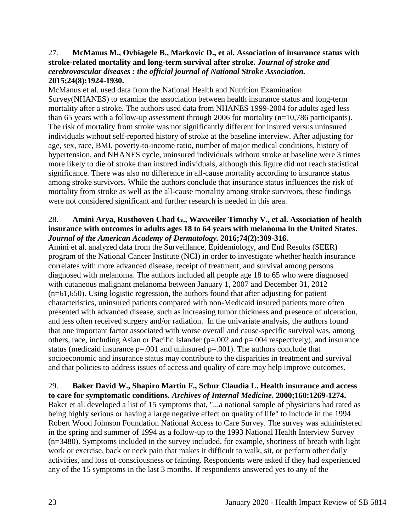### 27. **McManus M., Ovbiagele B., Markovic D., et al. Association of insurance status with stroke-related mortality and long-term survival after stroke.** *Journal of stroke and cerebrovascular diseases : the official journal of National Stroke Association.*  **2015;24(8):1924-1930.**

McManus et al. used data from the National Health and Nutrition Examination Survey(NHANES) to examine the association between health insurance status and long-term mortality after a stroke. The authors used data from NHANES 1999-2004 for adults aged less than 65 years with a follow-up assessment through 2006 for mortality (n=10,786 participants). The risk of mortality from stroke was not significantly different for insured versus uninsured individuals without self-reported history of stroke at the baseline interview. After adjusting for age, sex, race, BMI, poverty-to-income ratio, number of major medical conditions, history of hypertension, and NHANES cycle, uninsured individuals without stroke at baseline were 3 times more likely to die of stroke than insured individuals, although this figure did not reach statistical significance. There was also no difference in all-cause mortality according to insurance status among stroke survivors. While the authors conclude that insurance status influences the risk of mortality from stroke as well as the all-cause mortality among stroke survivors, these findings were not considered significant and further research is needed in this area.

### 28. **Amini Arya, Rusthoven Chad G., Waxweiler Timothy V., et al. Association of health insurance with outcomes in adults ages 18 to 64 years with melanoma in the United States.**  *Journal of the American Academy of Dermatology.* **2016;74(2):309-316.**

Amini et al. analyzed data from the Surveillance, Epidemiology, and End Results (SEER) program of the National Cancer Institute (NCI) in order to investigate whether health insurance correlates with more advanced disease, receipt of treatment, and survival among persons diagnosed with melanoma. The authors included all people age 18 to 65 who were diagnosed with cutaneous malignant melanoma between January 1, 2007 and December 31, 2012 (n=61,650). Using logistic regression, the authors found that after adjusting for patient characteristics, uninsured patients compared with non-Medicaid insured patients more often presented with advanced disease, such as increasing tumor thickness and presence of ulceration, and less often received surgery and/or radiation. In the univariate analysis, the authors found that one important factor associated with worse overall and cause-specific survival was, among others, race, including Asian or Pacific Islander ( $p=.002$  and  $p=.004$  respectively), and insurance status (medicaid insurance  $p=.001$  and uninsured  $p=.001$ ). The authors conclude that socioeconomic and insurance status may contribute to the disparities in treatment and survival and that policies to address issues of access and quality of care may help improve outcomes.

### 29. **Baker David W., Shapiro Martin F., Schur Claudia L. Health insurance and access to care for symptomatic conditions.** *Archives of Internal Medicine.* **2000;160:1269-1274.** Baker et al. developed a list of 15 symptoms that, "...a national sample of physicians had rated as being highly serious or having a large negative effect on quality of life" to include in the 1994 Robert Wood Johnson Foundation National Access to Care Survey. The survey was administered in the spring and summer of 1994 as a follow-up to the 1993 National Health Interview Survey (n=3480). Symptoms included in the survey included, for example, shortness of breath with light work or exercise, back or neck pain that makes it difficult to walk, sit, or perform other daily activities, and loss of consciousness or fainting. Respondents were asked if they had experienced any of the 15 symptoms in the last 3 months. If respondents answered yes to any of the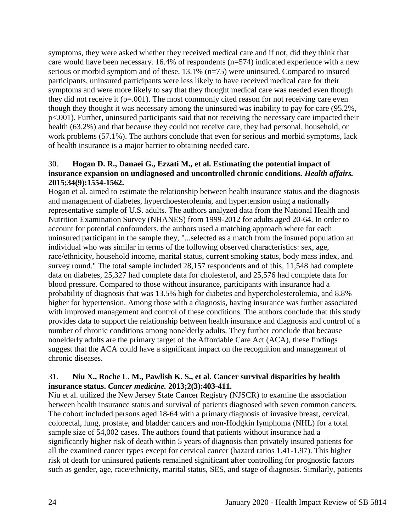symptoms, they were asked whether they received medical care and if not, did they think that care would have been necessary. 16.4% of respondents (n=574) indicated experience with a new serious or morbid symptom and of these, 13.1% (n=75) were uninsured. Compared to insured participants, uninsured participants were less likely to have received medical care for their symptoms and were more likely to say that they thought medical care was needed even though they did not receive it  $(p=.001)$ . The most commonly cited reason for not receiving care even though they thought it was necessary among the uninsured was inability to pay for care (95.2%, p<.001). Further, uninsured participants said that not receiving the necessary care impacted their health (63.2%) and that because they could not receive care, they had personal, household, or work problems (57.1%). The authors conclude that even for serious and morbid symptoms, lack of health insurance is a major barrier to obtaining needed care.

### 30. **Hogan D. R., Danaei G., Ezzati M., et al. Estimating the potential impact of insurance expansion on undiagnosed and uncontrolled chronic conditions.** *Health affairs.*  **2015;34(9):1554-1562.**

Hogan et al. aimed to estimate the relationship between health insurance status and the diagnosis and management of diabetes, hyperchoesterolemia, and hypertension using a nationally representative sample of U.S. adults. The authors analyzed data from the National Health and Nutrition Examination Survey (NHANES) from 1999-2012 for adults aged 20-64. In order to account for potential confounders, the authors used a matching approach where for each uninsured participant in the sample they, "...selected as a match from the insured population an individual who was similar in terms of the following observed characteristics: sex, age, race/ethnicity, household income, marital status, current smoking status, body mass index, and survey round." The total sample included 28,157 respondents and of this, 11,548 had complete data on diabetes, 25,327 had complete data for cholesterol, and 25,576 had complete data for blood pressure. Compared to those without insurance, participants with insurance had a probability of diagnosis that was 13.5% high for diabetes and hypercholesterolemia, and 8.8% higher for hypertension. Among those with a diagnosis, having insurance was further associated with improved management and control of these conditions. The authors conclude that this study provides data to support the relationship between health insurance and diagnosis and control of a number of chronic conditions among nonelderly adults. They further conclude that because nonelderly adults are the primary target of the Affordable Care Act (ACA), these findings suggest that the ACA could have a significant impact on the recognition and management of chronic diseases.

### 31. **Niu X., Roche L. M., Pawlish K. S., et al. Cancer survival disparities by health insurance status.** *Cancer medicine.* **2013;2(3):403-411.**

Niu et al. utilized the New Jersey State Cancer Registry (NJSCR) to examine the association between health insurance status and survival of patients diagnosed with seven common cancers. The cohort included persons aged 18-64 with a primary diagnosis of invasive breast, cervical, colorectal, lung, prostate, and bladder cancers and non-Hodgkin lymphoma (NHL) for a total sample size of 54,002 cases. The authors found that patients without insurance had a significantly higher risk of death within 5 years of diagnosis than privately insured patients for all the examined cancer types except for cervical cancer (hazard ratios 1.41-1.97). This higher risk of death for uninsured patients remained significant after controlling for prognostic factors such as gender, age, race/ethnicity, marital status, SES, and stage of diagnosis. Similarly, patients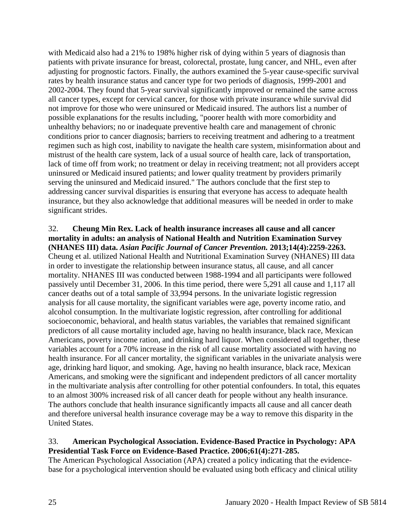with Medicaid also had a 21% to 198% higher risk of dying within 5 years of diagnosis than patients with private insurance for breast, colorectal, prostate, lung cancer, and NHL, even after adjusting for prognostic factors. Finally, the authors examined the 5-year cause-specific survival rates by health insurance status and cancer type for two periods of diagnosis, 1999-2001 and 2002-2004. They found that 5-year survival significantly improved or remained the same across all cancer types, except for cervical cancer, for those with private insurance while survival did not improve for those who were uninsured or Medicaid insured. The authors list a number of possible explanations for the results including, "poorer health with more comorbidity and unhealthy behaviors; no or inadequate preventive health care and management of chronic conditions prior to cancer diagnosis; barriers to receiving treatment and adhering to a treatment regimen such as high cost, inability to navigate the health care system, misinformation about and mistrust of the health care system, lack of a usual source of health care, lack of transportation, lack of time off from work; no treatment or delay in receiving treatment; not all providers accept uninsured or Medicaid insured patients; and lower quality treatment by providers primarily serving the uninsured and Medicaid insured." The authors conclude that the first step to addressing cancer survival disparities is ensuring that everyone has access to adequate health insurance, but they also acknowledge that additional measures will be needed in order to make significant strides.

### 32. **Cheung Min Rex. Lack of health insurance increases all cause and all cancer mortality in adults: an analysis of National Health and Nutrition Examination Survey (NHANES III) data.** *Asian Pacific Journal of Cancer Prevention.* **2013;14(4):2259-2263.**

Cheung et al. utilized National Health and Nutritional Examination Survey (NHANES) III data in order to investigate the relationship between insurance status, all cause, and all cancer mortality. NHANES III was conducted between 1988-1994 and all participants were followed passively until December 31, 2006. In this time period, there were 5,291 all cause and 1,117 all cancer deaths out of a total sample of 33,994 persons. In the univariate logistic regression analysis for all cause mortality, the significant variables were age, poverty income ratio, and alcohol consumption. In the multivariate logistic regression, after controlling for additional socioeconomic, behavioral, and health status variables, the variables that remained significant predictors of all cause mortality included age, having no health insurance, black race, Mexican Americans, poverty income ration, and drinking hard liquor. When considered all together, these variables account for a 70% increase in the risk of all cause mortality associated with having no health insurance. For all cancer mortality, the significant variables in the univariate analysis were age, drinking hard liquor, and smoking. Age, having no health insurance, black race, Mexican Americans, and smoking were the significant and independent predictors of all cancer mortality in the multivariate analysis after controlling for other potential confounders. In total, this equates to an almost 300% increased risk of all cancer death for people without any health insurance. The authors conclude that health insurance significantly impacts all cause and all cancer death and therefore universal health insurance coverage may be a way to remove this disparity in the United States.

### 33. **American Psychological Association. Evidence-Based Practice in Psychology: APA Presidential Task Force on Evidence-Based Practice. 2006;61(4):271-285.**

The American Psychological Association (APA) created a policy indicating that the evidencebase for a psychological intervention should be evaluated using both efficacy and clinical utility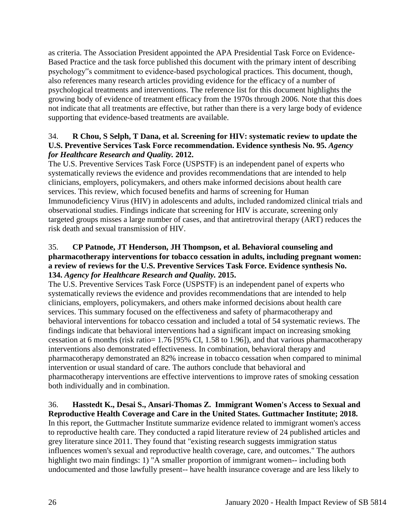as criteria. The Association President appointed the APA Presidential Task Force on Evidence-Based Practice and the task force published this document with the primary intent of describing psychology"s commitment to evidence-based psychological practices. This document, though, also references many research articles providing evidence for the efficacy of a number of psychological treatments and interventions. The reference list for this document highlights the growing body of evidence of treatment efficacy from the 1970s through 2006. Note that this does not indicate that all treatments are effective, but rather than there is a very large body of evidence supporting that evidence-based treatments are available.

# 34. **R Chou, S Selph, T Dana, et al. Screening for HIV: systematic review to update the U.S. Preventive Services Task Force recommendation. Evidence synthesis No. 95.** *Agency for Healthcare Research and Quality.* **2012.**

The U.S. Preventive Services Task Force (USPSTF) is an independent panel of experts who systematically reviews the evidence and provides recommendations that are intended to help clinicians, employers, policymakers, and others make informed decisions about health care services. This review, which focused benefits and harms of screening for Human Immunodeficiency Virus (HIV) in adolescents and adults, included randomized clinical trials and observational studies. Findings indicate that screening for HIV is accurate, screening only targeted groups misses a large number of cases, and that antiretroviral therapy (ART) reduces the risk death and sexual transmission of HIV.

### 35. **CP Patnode, JT Henderson, JH Thompson, et al. Behavioral counseling and pharmacotherapy interventions for tobacco cessation in adults, including pregnant women: a review of reviews for the U.S. Preventive Services Task Force. Evidence synthesis No. 134.** *Agency for Healthcare Research and Quality.* **2015.**

The U.S. Preventive Services Task Force (USPSTF) is an independent panel of experts who systematically reviews the evidence and provides recommendations that are intended to help clinicians, employers, policymakers, and others make informed decisions about health care services. This summary focused on the effectiveness and safety of pharmacotherapy and behavioral interventions for tobacco cessation and included a total of 54 systematic reviews. The findings indicate that behavioral interventions had a significant impact on increasing smoking cessation at 6 months (risk ratio= 1.76 [95% CI, 1.58 to 1.96]), and that various pharmacotherapy interventions also demonstrated effectiveness. In combination, behavioral therapy and pharmacotherapy demonstrated an 82% increase in tobacco cessation when compared to minimal intervention or usual standard of care. The authors conclude that behavioral and pharmacotherapy interventions are effective interventions to improve rates of smoking cessation both individually and in combination.

### 36. **Hasstedt K., Desai S., Ansari-Thomas Z. Immigrant Women's Access to Sexual and Reproductive Health Coverage and Care in the United States. Guttmacher Institute; 2018.**

In this report, the Guttmacher Institute summarize evidence related to immigrant women's access to reproductive health care. They conducted a rapid literature review of 24 published articles and grey literature since 2011. They found that "existing research suggests immigration status influences women's sexual and reproductive health coverage, care, and outcomes." The authors highlight two main findings: 1) "A smaller proportion of immigrant women-- including both undocumented and those lawfully present-- have health insurance coverage and are less likely to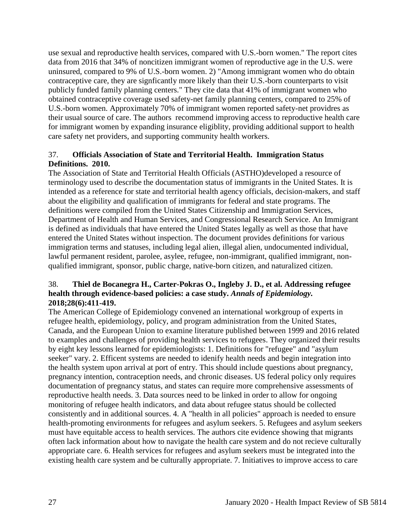use sexual and reproductive health services, compared with U.S.-born women." The report cites data from 2016 that 34% of noncitizen immigrant women of reproductive age in the U.S. were uninsured, compared to 9% of U.S.-born women. 2) "Among immigrant women who do obtain contraceptive care, they are signficantly more likely than their U.S.-born counterparts to visit publicly funded family planning centers." They cite data that 41% of immigrant women who obtained contraceptive coverage used safety-net family planning centers, compared to 25% of U.S.-born women. Approximately 70% of immigrant women reported safety-net providres as their usual source of care. The authors recommend improving access to reproductive health care for immigrant women by expanding insurance eligiblity, providing additional support to health care safety net providers, and supporting community health workers.

# 37. **Officials Association of State and Territorial Health. Immigration Status Definitions. 2010.**

The Association of State and Territorial Health Officials (ASTHO)developed a resource of terminology used to describe the documentation status of immigrants in the United States. It is intended as a reference for state and territorial health agency officials, decision-makers, and staff about the eligibility and qualification of immigrants for federal and state programs. The definitions were compiled from the United States Citizenship and Immigration Services, Department of Health and Human Services, and Congressional Research Service. An Immigrant is defined as individuals that have entered the United States legally as well as those that have entered the United States without inspection. The document provides definitions for various immigration terms and statuses, including legal alien, illegal alien, undocumented individual, lawful permanent resident, parolee, asylee, refugee, non-immigrant, qualified immigrant, nonqualified immigrant, sponsor, public charge, native-born citizen, and naturalized citizen.

# 38. **Thiel de Bocanegra H., Carter-Pokras O., Ingleby J. D., et al. Addressing refugee health through evidence-based policies: a case study.** *Annals of Epidemiology.*  **2018;28(6):411-419.**

The American College of Epidemiology convened an international workgroup of experts in refugee health, epidemiology, policy, and program administration from the United States, Canada, and the European Union to examine literature published between 1999 and 2016 related to examples and challenges of providing health services to refugees. They organized their results by eight key lessons learned for epidemiologists: 1. Definitions for "refugee" and "asylum seeker" vary. 2. Efficent systems are needed to idenify health needs and begin integration into the health system upon arrival at port of entry. This should include questions about pregnancy, pregnancy intention, contraception needs, and chronic diseases. US federal policy only requires documentation of pregnancy status, and states can require more comprehensive assessments of reproductive health needs. 3. Data sources need to be linked in order to allow for ongoing monitoring of refugee health indicators, and data about refugee status should be collected consistently and in additional sources. 4. A "health in all policies" approach is needed to ensure health-promoting environments for refugees and asylum seekers. 5. Refugees and asylum seekers must have equitable access to health services. The authors cite evidence showing that migrants often lack information about how to navigate the health care system and do not recieve culturally appropriate care. 6. Health services for refugees and asylum seekers must be integrated into the existing health care system and be culturally appropriate. 7. Initiatives to improve access to care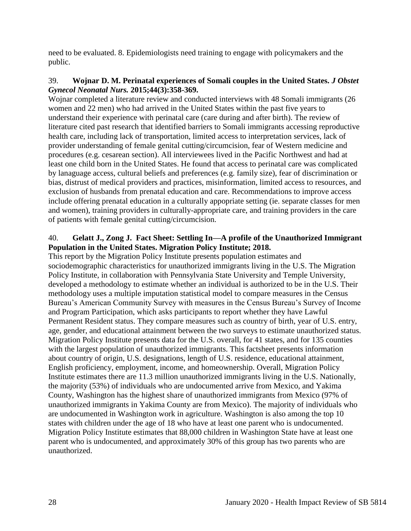need to be evaluated. 8. Epidemiologists need training to engage with policymakers and the public.

### 39. **Wojnar D. M. Perinatal experiences of Somali couples in the United States.** *J Obstet Gynecol Neonatal Nurs.* **2015;44(3):358-369.**

Wojnar completed a literature review and conducted interviews with 48 Somali immigrants (26 women and 22 men) who had arrived in the United States within the past five years to understand their experience with perinatal care (care during and after birth). The review of literature cited past research that identified barriers to Somali immigrants accessing reproductive health care, including lack of transportation, limited access to interpretation services, lack of provider understanding of female genital cutting/circumcision, fear of Western medicine and procedures (e.g. cesarean section). All interviewees lived in the Pacific Northwest and had at least one child born in the United States. He found that access to perinatal care was complicated by lanaguage access, cultural beliefs and preferences (e.g. family size), fear of discrimination or bias, distrust of medical providers and practices, misinformation, limited access to resources, and exclusion of husbands from prenatal education and care. Recommendations to improve access include offering prenatal education in a culturally appopriate setting (ie. separate classes for men and women), training providers in culturally-appropriate care, and training providers in the care of patients with female genital cutting/circumcision.

# 40. **Gelatt J., Zong J. Fact Sheet: Settling In—A profile of the Unauthorized Immigrant Population in the United States. Migration Policy Institute; 2018.**

This report by the Migration Policy Institute presents population estimates and sociodemographic characteristics for unauthorized immigrants living in the U.S. The Migration Policy Institute, in collaboration with Pennsylvania State University and Temple University, developed a methodology to estimate whether an individual is authorized to be in the U.S. Their methodology uses a multiple imputation statistical model to compare measures in the Census Bureau's American Community Survey with measures in the Census Bureau's Survey of Income and Program Participation, which asks participants to report whether they have Lawful Permanent Resident status. They compare measures such as country of birth, year of U.S. entry, age, gender, and educational attainment between the two surveys to estimate unauthorized status. Migration Policy Institute presents data for the U.S. overall, for 41 states, and for 135 counties with the largest population of unauthorized immigrants. This factsheet presents information about country of origin, U.S. designations, length of U.S. residence, educational attainment, English proficiency, employment, income, and homeownership. Overall, Migration Policy Institute estimates there are 11.3 million unauthorized immigrants living in the U.S. Nationally, the majority (53%) of individuals who are undocumented arrive from Mexico, and Yakima County, Washington has the highest share of unauthorized immigrants from Mexico (97% of unauthorized immigrants in Yakima County are from Mexico). The majority of individuals who are undocumented in Washington work in agriculture. Washington is also among the top 10 states with children under the age of 18 who have at least one parent who is undocumented. Migration Policy Institute estimates that 88,000 children in Washington State have at least one parent who is undocumented, and approximately 30% of this group has two parents who are unauthorized.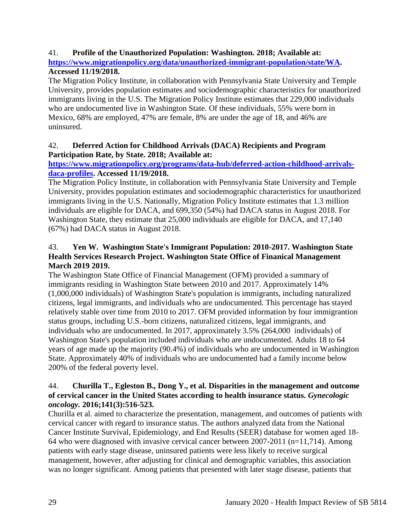# 41. **Profile of the Unauthorized Population: Washington. 2018; Available at:**

**[https://www.migrationpolicy.org/data/unauthorized-immigrant-population/state/WA.](https://www.migrationpolicy.org/data/unauthorized-immigrant-population/state/WA) Accessed 11/19/2018.**

The Migration Policy Institute, in collaboration with Pennsylvania State University and Temple University, provides population estimates and sociodemographic characteristics for unauthorized immigrants living in the U.S. The Migration Policy Institute estimates that 229,000 individuals who are undocumented live in Washington State. Of these individuals, 55% were born in Mexico, 68% are employed, 47% are female, 8% are under the age of 18, and 46% are uninsured.

# 42. **Deferred Action for Childhood Arrivals (DACA) Recipients and Program Participation Rate, by State. 2018; Available at:**

# **[https://www.migrationpolicy.org/programs/data-hub/deferred-action-childhood-arrivals](https://www.migrationpolicy.org/programs/data-hub/deferred-action-childhood-arrivals-daca-profiles)[daca-profiles.](https://www.migrationpolicy.org/programs/data-hub/deferred-action-childhood-arrivals-daca-profiles) Accessed 11/19/2018.**

The Migration Policy Institute, in collaboration with Pennsylvania State University and Temple University, provides population estimates and sociodemographic characteristics for unauthorized immigrants living in the U.S. Nationally, Migration Policy Institute estimates that 1.3 million individuals are eligible for DACA, and 699,350 (54%) had DACA status in August 2018. For Washington State, they estimate that 25,000 individuals are eligible for DACA, and 17,140 (67%) had DACA status in August 2018.

# 43. **Yen W. Washington State's Immigrant Population: 2010-2017. Washington State Health Services Research Project. Washington State Office of Finanical Management March 2019 2019.**

The Washington State Office of Financial Management (OFM) provided a summary of immigrants residing in Washington State between 2010 and 2017. Approximately 14% (1,000,000 individuals) of Washington State's population is immigrants, including naturalized citizens, legal immigrants, and individuals who are undocumented. This percentage has stayed relatively stable over time from 2010 to 2017. OFM provided information by four immigrantion status groups, including U.S.-born citizens, naturalized citizens, legal immigrants, and individuals who are undocumented. In 2017, approximately 3.5% (264,000 individuals) of Washington State's population included individuals who are undocumented. Adults 18 to 64 years of age made up the majority (90.4%) of individuals who are undocumented in Washington State. Approximately 40% of individuals who are undocumented had a family income below 200% of the federal poverty level.

### 44. **Churilla T., Egleston B., Dong Y., et al. Disparities in the management and outcome of cervical cancer in the United States according to health insurance status.** *Gynecologic oncology.* **2016;141(3):516-523.**

Churilla et al. aimed to characterize the presentation, management, and outcomes of patients with cervical cancer with regard to insurance status. The authors analyzed data from the National Cancer Institute Survival, Epidemiology, and End Results (SEER) database for women aged 18- 64 who were diagnosed with invasive cervical cancer between 2007-2011 (n=11,714). Among patients with early stage disease, uninsured patients were less likely to receive surgical management, however, after adjusting for clinical and demographic variables, this association was no longer significant. Among patients that presented with later stage disease, patients that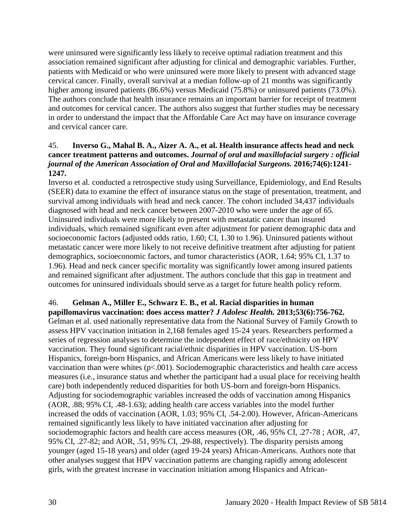were uninsured were significantly less likely to receive optimal radiation treatment and this association remained significant after adjusting for clinical and demographic variables. Further, patients with Medicaid or who were uninsured were more likely to present with advanced stage cervical cancer. Finally, overall survival at a median follow-up of 21 months was significantly higher among insured patients (86.6%) versus Medicaid (75.8%) or uninsured patients (73.0%). The authors conclude that health insurance remains an important barrier for receipt of treatment and outcomes for cervical cancer. The authors also suggest that further studies may be necessary in order to understand the impact that the Affordable Care Act may have on insurance coverage and cervical cancer care.

### 45. **Inverso G., Mahal B. A., Aizer A. A., et al. Health insurance affects head and neck cancer treatment patterns and outcomes.** *Journal of oral and maxillofacial surgery : official journal of the American Association of Oral and Maxillofacial Surgeons.* **2016;74(6):1241- 1247.**

Inverso et al. conducted a retrospective study using Surveillance, Epidemiology, and End Results (SEER) data to examine the effect of insurance status on the stage of presentation, treatment, and survival among individuals with head and neck cancer. The cohort included 34,437 individuals diagnosed with head and neck cancer between 2007-2010 who were under the age of 65. Uninsured individuals were more likely to present with metastatic cancer than insured individuals, which remained significant even after adjustment for patient demographic data and socioeconomic factors (adjusted odds ratio, 1.60; CI, 1.30 to 1.96). Uninsured patients without metastatic cancer were more likely to not receive definitive treatment after adjusting for patient demographics, socioeconomic factors, and tumor characteristics (AOR, 1.64; 95% CI, 1.37 to 1.96). Head and neck cancer specific mortality was significantly lower among insured patients and remained significant after adjustment. The authors conclude that this gap in treatment and outcomes for uninsured individuals should serve as a target for future health policy reform.

# 46. **Gelman A., Miller E., Schwarz E. B., et al. Racial disparities in human**

**papillomavirus vaccination: does access matter?** *J Adolesc Health.* **2013;53(6):756-762.** Gelman et al. used nationally representative data from the National Survey of Family Growth to assess HPV vaccination initiation in 2,168 females aged 15-24 years. Researchers performed a series of regression analyses to determine the independent effect of race/ethnicity on HPV vaccination. They found significant racial/ethnic disparities in HPV vaccination. US-born Hispanics, foreign-born Hispanics, and African Americans were less likely to have initiated vaccination than were whites  $(p<.001)$ . Sociodemographic characteristics and health care access measures (i.e., insurance status and whether the participant had a usual place for receiving health care) both independently reduced disparities for both US-born and foreign-born Hispanics. Adjusting for sociodemographic variables increased the odds of vaccination among Hispanics (AOR, .88; 95% CI, .48-1.63); adding health care access variables into the model further increased the odds of vaccination (AOR, 1.03; 95% CI, .54-2.00). However, African-Americans remained significantly less likely to have initiated vaccination after adjusting for sociodemographic factors and health care access measures (OR, .46, 95% CI, .27-78 ; AOR, .47, 95% CI, .27-82; and AOR, .51, 95% CI, .29-88, respectively). The disparity persists among younger (aged 15-18 years) and older (aged 19-24 years) African-Americans. Authors note that other analyses suggest that HPV vaccination patterns are changing rapidly among adolescent girls, with the greatest increase in vaccination initiation among Hispanics and African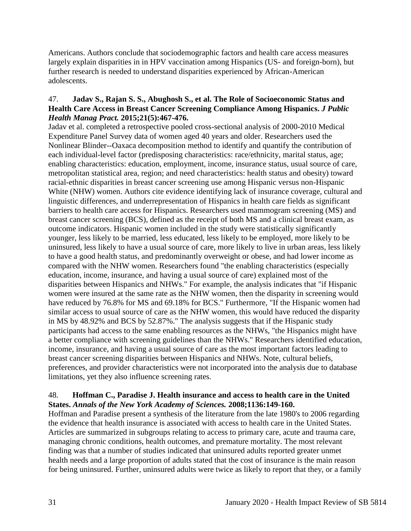Americans. Authors conclude that sociodemographic factors and health care access measures largely explain disparities in in HPV vaccination among Hispanics (US- and foreign-born), but further research is needed to understand disparities experienced by African-American adolescents.

### 47. **Jadav S., Rajan S. S., Abughosh S., et al. The Role of Socioeconomic Status and Health Care Access in Breast Cancer Screening Compliance Among Hispanics.** *J Public Health Manag Pract.* **2015;21(5):467-476.**

Jadav et al. completed a retrospective pooled cross-sectional analysis of 2000-2010 Medical Expenditure Panel Survey data of women aged 40 years and older. Researchers used the Nonlinear Blinder--Oaxaca decomposition method to identify and quantify the contribution of each individual-level factor (predisposing characteristics: race/ethnicity, marital status, age; enabling characteristics: education, employment, income, insurance status, usual source of care, metropolitan statistical area, region; and need characteristics: health status and obesity) toward racial-ethnic disparities in breast cancer screening use among Hispanic versus non-Hispanic White (NHW) women. Authors cite evidence identifying lack of insurance coverage, cultural and linguistic differences, and underrepresentation of Hispanics in health care fields as significant barriers to health care access for Hispanics. Researchers used mammogram screening (MS) and breast cancer screening (BCS), defined as the receipt of both MS and a clinical breast exam, as outcome indicators. Hispanic women included in the study were statistically significantly younger, less likely to be married, less educated, less likely to be employed, more likely to be uninsured, less likely to have a usual source of care, more likely to live in urban areas, less likely to have a good health status, and predominantly overweight or obese, and had lower income as compared with the NHW women. Researchers found "the enabling characteristics (especially education, income, insurance, and having a usual source of care) explained most of the disparities between Hispanics and NHWs." For example, the analysis indicates that "if Hispanic women were insured at the same rate as the NHW women, then the disparity in screening would have reduced by 76.8% for MS and 69.18% for BCS." Furthermore, "If the Hispanic women had similar access to usual source of care as the NHW women, this would have reduced the disparity in MS by 48.92% and BCS by 52.87%." The analysis suggests that if the Hispanic study participants had access to the same enabling resources as the NHWs, "the Hispanics might have a better compliance with screening guidelines than the NHWs." Researchers identified education, income, insurance, and having a usual source of care as the most important factors leading to breast cancer screening disparities between Hispanics and NHWs. Note, cultural beliefs, preferences, and provider characteristics were not incorporated into the analysis due to database limitations, yet they also influence screening rates.

### 48. **Hoffman C., Paradise J. Health insurance and access to health care in the United States.** *Annals of the New York Academy of Sciences.* **2008;1136:149-160.**

Hoffman and Paradise present a synthesis of the literature from the late 1980's to 2006 regarding the evidence that health insurance is associated with access to health care in the United States. Articles are summarized in subgroups relating to access to primary care, acute and trauma care, managing chronic conditions, health outcomes, and premature mortality. The most relevant finding was that a number of studies indicated that uninsured adults reported greater unmet health needs and a large proportion of adults stated that the cost of insurance is the main reason for being uninsured. Further, uninsured adults were twice as likely to report that they, or a family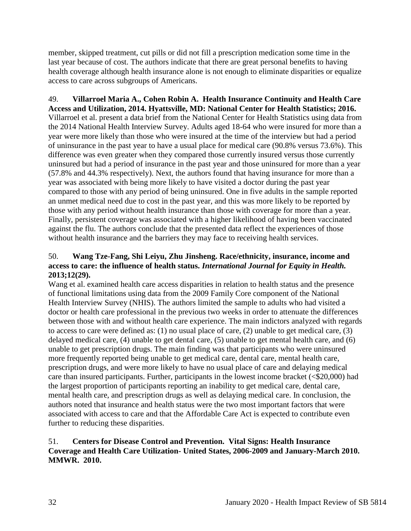member, skipped treatment, cut pills or did not fill a prescription medication some time in the last year because of cost. The authors indicate that there are great personal benefits to having health coverage although health insurance alone is not enough to eliminate disparities or equalize access to care across subgroups of Americans.

49. **Villarroel Maria A., Cohen Robin A. Health Insurance Continuity and Health Care Access and Utilization, 2014. Hyattsville, MD: National Center for Health Statistics; 2016.** Villarroel et al. present a data brief from the National Center for Health Statistics using data from the 2014 National Health Interview Survey. Adults aged 18-64 who were insured for more than a year were more likely than those who were insured at the time of the interview but had a period of uninsurance in the past year to have a usual place for medical care (90.8% versus 73.6%). This difference was even greater when they compared those currently insured versus those currently uninsured but had a period of insurance in the past year and those uninsured for more than a year (57.8% and 44.3% respectively). Next, the authors found that having insurance for more than a year was associated with being more likely to have visited a doctor during the past year compared to those with any period of being uninsured. One in five adults in the sample reported an unmet medical need due to cost in the past year, and this was more likely to be reported by those with any period without health insurance than those with coverage for more than a year. Finally, persistent coverage was associated with a higher likelihood of having been vaccinated against the flu. The authors conclude that the presented data reflect the experiences of those without health insurance and the barriers they may face to receiving health services.

# 50. **Wang Tze-Fang, Shi Leiyu, Zhu Jinsheng. Race/ethnicity, insurance, income and access to care: the influence of health status.** *International Journal for Equity in Health.*  **2013;12(29).**

Wang et al. examined health care access disparities in relation to health status and the presence of functional limitations using data from the 2009 Family Core component of the National Health Interview Survey (NHIS). The authors limited the sample to adults who had visited a doctor or health care professional in the previous two weeks in order to attenuate the differences between those with and without health care experience. The main indictors analyzed with regards to access to care were defined as: (1) no usual place of care, (2) unable to get medical care, (3) delayed medical care, (4) unable to get dental care, (5) unable to get mental health care, and (6) unable to get prescription drugs. The main finding was that participants who were uninsured more frequently reported being unable to get medical care, dental care, mental health care, prescription drugs, and were more likely to have no usual place of care and delaying medical care than insured participants. Further, participants in the lowest income bracket ( $\leq 20,000$ ) had the largest proportion of participants reporting an inability to get medical care, dental care, mental health care, and prescription drugs as well as delaying medical care. In conclusion, the authors noted that insurance and health status were the two most important factors that were associated with access to care and that the Affordable Care Act is expected to contribute even further to reducing these disparities.

### 51. **Centers for Disease Control and Prevention. Vital Signs: Health Insurance Coverage and Health Care Utilization- United States, 2006-2009 and January-March 2010. MMWR. 2010.**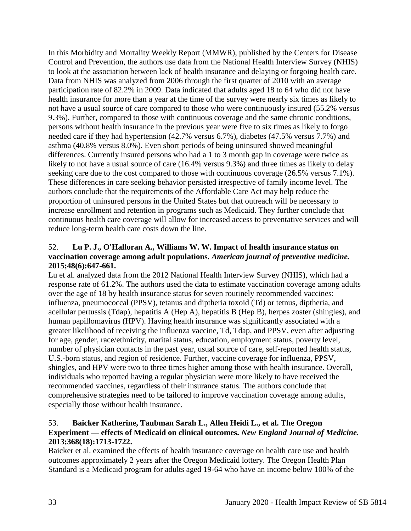In this Morbidity and Mortality Weekly Report (MMWR), published by the Centers for Disease Control and Prevention, the authors use data from the National Health Interview Survey (NHIS) to look at the association between lack of health insurance and delaying or forgoing health care. Data from NHIS was analyzed from 2006 through the first quarter of 2010 with an average participation rate of 82.2% in 2009. Data indicated that adults aged 18 to 64 who did not have health insurance for more than a year at the time of the survey were nearly six times as likely to not have a usual source of care compared to those who were continuously insured (55.2% versus 9.3%). Further, compared to those with continuous coverage and the same chronic conditions, persons without health insurance in the previous year were five to six times as likely to forgo needed care if they had hypertension (42.7% versus 6.7%), diabetes (47.5% versus 7.7%) and asthma (40.8% versus 8.0%). Even short periods of being uninsured showed meaningful differences. Currently insured persons who had a 1 to 3 month gap in coverage were twice as likely to not have a usual source of care (16.4% versus 9.3%) and three times as likely to delay seeking care due to the cost compared to those with continuous coverage (26.5% versus 7.1%). These differences in care seeking behavior persisted irrespective of family income level. The authors conclude that the requirements of the Affordable Care Act may help reduce the proportion of uninsured persons in the United States but that outreach will be necessary to increase enrollment and retention in programs such as Medicaid. They further conclude that continuous health care coverage will allow for increased access to preventative services and will reduce long-term health care costs down the line.

# 52. **Lu P. J., O'Halloran A., Williams W. W. Impact of health insurance status on vaccination coverage among adult populations.** *American journal of preventive medicine.*  **2015;48(6):647-661.**

Lu et al. analyzed data from the 2012 National Health Interview Survey (NHIS), which had a response rate of 61.2%. The authors used the data to estimate vaccination coverage among adults over the age of 18 by health insurance status for seven routinely recommended vaccines: influenza, pneumococcal (PPSV), tetanus and diptheria toxoid (Td) or tetnus, diptheria, and acellular pertussis (Tdap), hepatitis A (Hep A), hepatitis B (Hep B), herpes zoster (shingles), and human papillomavirus (HPV). Having health insurance was significantly associated with a greater likelihood of receiving the influenza vaccine, Td, Tdap, and PPSV, even after adjusting for age, gender, race/ethnicity, marital status, education, employment status, poverty level, number of physician contacts in the past year, usual source of care, self-reported health status, U.S.-born status, and region of residence. Further, vaccine coverage for influenza, PPSV, shingles, and HPV were two to three times higher among those with health insurance. Overall, individuals who reported having a regular physician were more likely to have received the recommended vaccines, regardless of their insurance status. The authors conclude that comprehensive strategies need to be tailored to improve vaccination coverage among adults, especially those without health insurance.

# 53. **Baicker Katherine, Taubman Sarah L., Allen Heidi L., et al. The Oregon Experiment — effects of Medicaid on clinical outcomes.** *New England Journal of Medicine.*  **2013;368(18):1713-1722.**

Baicker et al. examined the effects of health insurance coverage on health care use and health outcomes approximately 2 years after the Oregon Medicaid lottery. The Oregon Health Plan Standard is a Medicaid program for adults aged 19-64 who have an income below 100% of the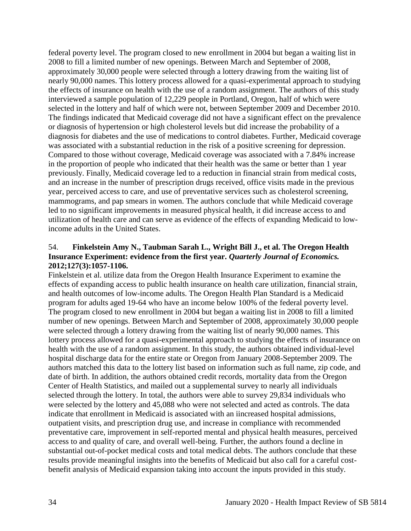federal poverty level. The program closed to new enrollment in 2004 but began a waiting list in 2008 to fill a limited number of new openings. Between March and September of 2008, approximately 30,000 people were selected through a lottery drawing from the waiting list of nearly 90,000 names. This lottery process allowed for a quasi-experimental approach to studying the effects of insurance on health with the use of a random assignment. The authors of this study interviewed a sample population of 12,229 people in Portland, Oregon, half of which were selected in the lottery and half of which were not, between September 2009 and December 2010. The findings indicated that Medicaid coverage did not have a significant effect on the prevalence or diagnosis of hypertension or high cholesterol levels but did increase the probability of a diagnosis for diabetes and the use of medications to control diabetes. Further, Medicaid coverage was associated with a substantial reduction in the risk of a positive screening for depression. Compared to those without coverage, Medicaid coverage was associated with a 7.84% increase in the proportion of people who indicated that their health was the same or better than 1 year previously. Finally, Medicaid coverage led to a reduction in financial strain from medical costs, and an increase in the number of prescription drugs received, office visits made in the previous year, perceived access to care, and use of preventative services such as cholesterol screening, mammograms, and pap smears in women. The authors conclude that while Medicaid coverage led to no significant improvements in measured physical health, it did increase access to and utilization of health care and can serve as evidence of the effects of expanding Medicaid to lowincome adults in the United States.

# 54. **Finkelstein Amy N., Taubman Sarah L., Wright Bill J., et al. The Oregon Health Insurance Experiment: evidence from the first year.** *Quarterly Journal of Economics.*  **2012;127(3):1057-1106.**

Finkelstein et al. utilize data from the Oregon Health Insurance Experiment to examine the effects of expanding access to public health insurance on health care utilization, financial strain, and health outcomes of low-income adults. The Oregon Health Plan Standard is a Medicaid program for adults aged 19-64 who have an income below 100% of the federal poverty level. The program closed to new enrollment in 2004 but began a waiting list in 2008 to fill a limited number of new openings. Between March and September of 2008, approximately 30,000 people were selected through a lottery drawing from the waiting list of nearly 90,000 names. This lottery process allowed for a quasi-experimental approach to studying the effects of insurance on health with the use of a random assignment. In this study, the authors obtained individual-level hospital discharge data for the entire state or Oregon from January 2008-September 2009. The authors matched this data to the lottery list based on information such as full name, zip code, and date of birth. In addition, the authors obtained credit records, mortality data from the Oregon Center of Health Statistics, and mailed out a supplemental survey to nearly all individuals selected through the lottery. In total, the authors were able to survey 29,834 individuals who were selected by the lottery and 45,088 who were not selected and acted as controls. The data indicate that enrollment in Medicaid is associated with an iincreased hospital admissions, outpatient visits, and prescription drug use, and increase in compliance with recommended preventative care, improvement in self-reported mental and physical health measures, perceived access to and quality of care, and overall well-being. Further, the authors found a decline in substantial out-of-pocket medical costs and total medical debts. The authors conclude that these results provide meaningful insights into the benefits of Medicaid but also call for a careful costbenefit analysis of Medicaid expansion taking into account the inputs provided in this study.